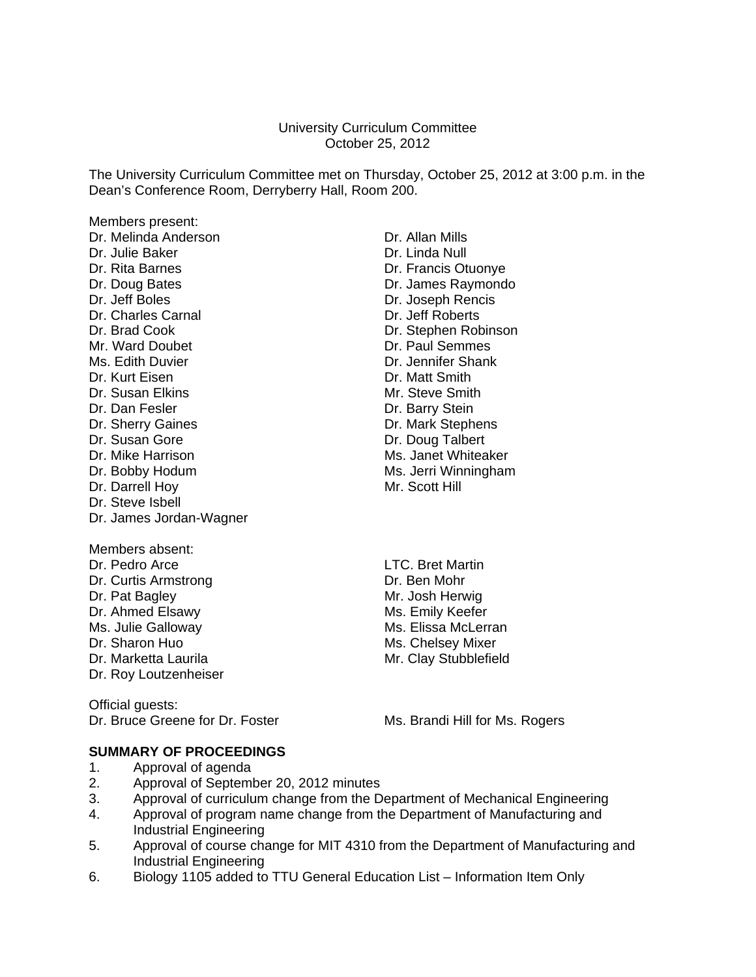#### University Curriculum Committee October 25, 2012

The University Curriculum Committee met on Thursday, October 25, 2012 at 3:00 p.m. in the Dean's Conference Room, Derryberry Hall, Room 200.

Members present: Dr. Melinda Anderson **Dr. Allan Mills** Dr. Julie Baker **Dr. Linda Null** Dr. Rita Barnes **Dr. Francis Otuonye** Dr. Doug Bates **Dr. James Raymondo** Dr. Jeff Boles Dr. Joseph Rencis Dr. Charles Carnal Dr. Jeff Roberts Dr. Brad Cook Dr. Stephen Robinson Mr. Ward Doubet **Dr. Paul Semmes** Ms. Edith Duvier **Dr. Jennifer Shank** Dr. Kurt Eisen **Dr. Matt Smith** Dr. Susan Elkins Mr. Steve Smith Dr. Dan Fesler **Dr. Barry Stein** Dr. Sherry Gaines **Dr. Mark Stephens** Dr. Susan Gore Dr. Doug Talbert Dr. Mike Harrison Ms. Janet Whiteaker Dr. Bobby Hodum Ms. Jerri Winningham Dr. Darrell Hov Mr. Scott Hill Dr. Steve Isbell Dr. James Jordan-Wagner Members absent: Dr. Pedro Arce **LTC.** Bret Martin Dr. Curtis Armstrong Dr. Ben Mohr

- Dr. Ahmed Elsawy Ms. Julie Galloway Ms. Elissa McLerran Dr. Sharon Huo **Ms. Chelsey Mixer** Ms. Chelsey Mixer
- Dr. Roy Loutzenheiser

Dr. Pat Bagley Mr. Josh Herwig<br>
Dr. Ahmed Elsawy Mr. Josh Herwig Dr. Marketta Laurila Mr. Clay Stubblefield

Official guests:<br>Dr. Bruce Greene for Dr. Foster

Ms. Brandi Hill for Ms. Rogers

## **SUMMARY OF PROCEEDINGS**

- 1. Approval of agenda
- 2. Approval of September 20, 2012 minutes
- 3. Approval of curriculum change from the Department of Mechanical Engineering
- 4. Approval of program name change from the Department of Manufacturing and Industrial Engineering
- 5. Approval of course change for MIT 4310 from the Department of Manufacturing and Industrial Engineering
- 6. Biology 1105 added to TTU General Education List Information Item Only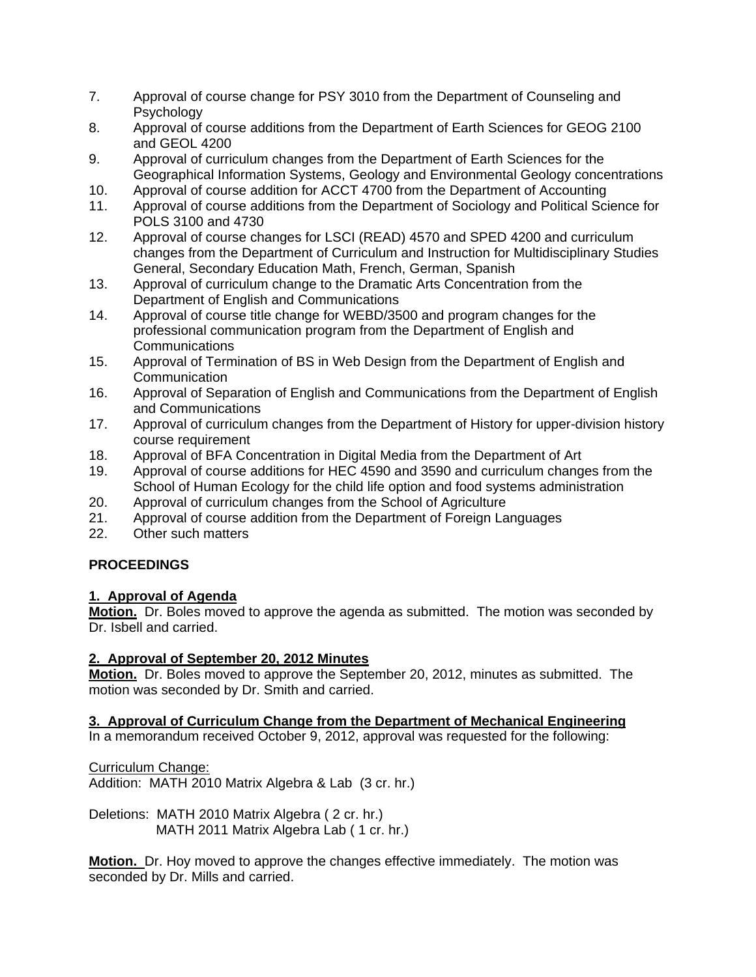- 7. Approval of course change for PSY 3010 from the Department of Counseling and **Psychology**
- 8. Approval of course additions from the Department of Earth Sciences for GEOG 2100 and GEOL 4200
- 9. Approval of curriculum changes from the Department of Earth Sciences for the Geographical Information Systems, Geology and Environmental Geology concentrations
- 10. Approval of course addition for ACCT 4700 from the Department of Accounting
- 11. Approval of course additions from the Department of Sociology and Political Science for POLS 3100 and 4730
- 12. Approval of course changes for LSCI (READ) 4570 and SPED 4200 and curriculum changes from the Department of Curriculum and Instruction for Multidisciplinary Studies General, Secondary Education Math, French, German, Spanish
- 13. Approval of curriculum change to the Dramatic Arts Concentration from the Department of English and Communications
- 14. Approval of course title change for WEBD/3500 and program changes for the professional communication program from the Department of English and **Communications**
- 15. Approval of Termination of BS in Web Design from the Department of English and Communication
- 16. Approval of Separation of English and Communications from the Department of English and Communications
- 17. Approval of curriculum changes from the Department of History for upper-division history course requirement
- 18. Approval of BFA Concentration in Digital Media from the Department of Art
- 19. Approval of course additions for HEC 4590 and 3590 and curriculum changes from the School of Human Ecology for the child life option and food systems administration
- 20. Approval of curriculum changes from the School of Agriculture
- 21. Approval of course addition from the Department of Foreign Languages
- 22. Other such matters

## **PROCEEDINGS**

## **1. Approval of Agenda**

**Motion.** Dr. Boles moved to approve the agenda as submitted. The motion was seconded by Dr. Isbell and carried.

## **2. Approval of September 20, 2012 Minutes**

**Motion.** Dr. Boles moved to approve the September 20, 2012, minutes as submitted. The motion was seconded by Dr. Smith and carried.

## **3. Approval of Curriculum Change from the Department of Mechanical Engineering**

In a memorandum received October 9, 2012, approval was requested for the following:

Curriculum Change:

Addition: MATH 2010 Matrix Algebra & Lab (3 cr. hr.)

Deletions: MATH 2010 Matrix Algebra ( 2 cr. hr.) MATH 2011 Matrix Algebra Lab ( 1 cr. hr.)

**Motion.** Dr. Hoy moved to approve the changes effective immediately. The motion was seconded by Dr. Mills and carried.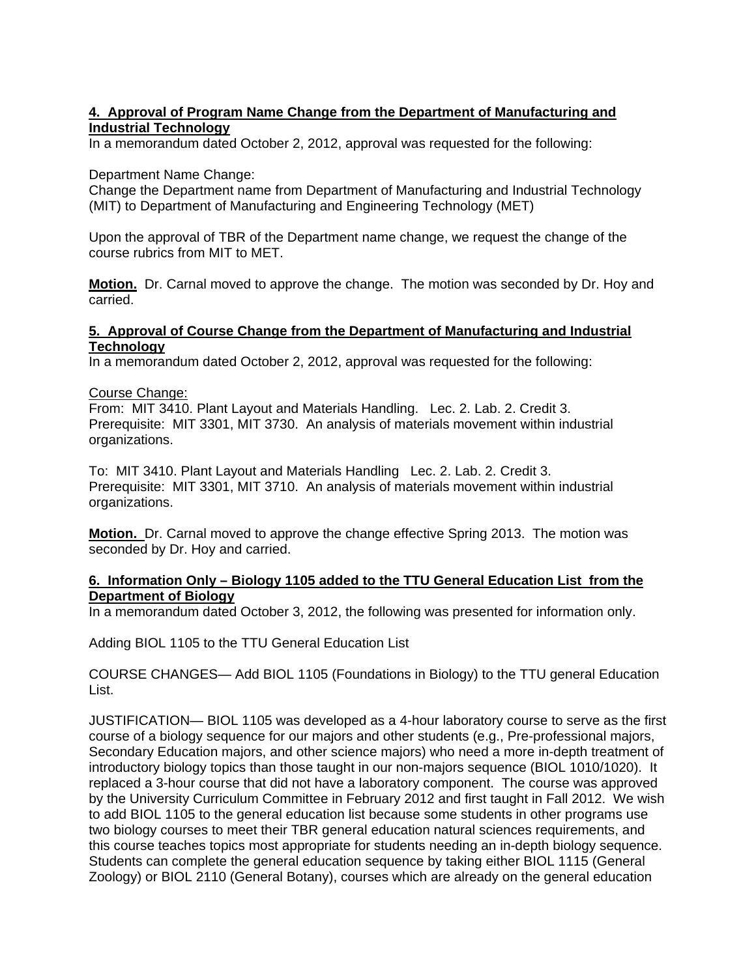## **4. Approval of Program Name Change from the Department of Manufacturing and Industrial Technology**

In a memorandum dated October 2, 2012, approval was requested for the following:

#### Department Name Change:

Change the Department name from Department of Manufacturing and Industrial Technology (MIT) to Department of Manufacturing and Engineering Technology (MET)

Upon the approval of TBR of the Department name change, we request the change of the course rubrics from MIT to MET.

**Motion.** Dr. Carnal moved to approve the change. The motion was seconded by Dr. Hoy and carried.

#### **5. Approval of Course Change from the Department of Manufacturing and Industrial Technology**

In a memorandum dated October 2, 2012, approval was requested for the following:

#### Course Change:

From: MIT 3410. Plant Layout and Materials Handling. Lec. 2. Lab. 2. Credit 3. Prerequisite: MIT 3301, MIT 3730. An analysis of materials movement within industrial organizations.

To: MIT 3410. Plant Layout and Materials Handling Lec. 2. Lab. 2. Credit 3. Prerequisite: MIT 3301, MIT 3710. An analysis of materials movement within industrial organizations.

**Motion.** Dr. Carnal moved to approve the change effective Spring 2013. The motion was seconded by Dr. Hoy and carried.

#### **6. Information Only – Biology 1105 added to the TTU General Education List from the Department of Biology**

In a memorandum dated October 3, 2012, the following was presented for information only.

Adding BIOL 1105 to the TTU General Education List

COURSE CHANGES— Add BIOL 1105 (Foundations in Biology) to the TTU general Education List.

JUSTIFICATION— BIOL 1105 was developed as a 4-hour laboratory course to serve as the first course of a biology sequence for our majors and other students (e.g., Pre-professional majors, Secondary Education majors, and other science majors) who need a more in-depth treatment of introductory biology topics than those taught in our non-majors sequence (BIOL 1010/1020). It replaced a 3-hour course that did not have a laboratory component. The course was approved by the University Curriculum Committee in February 2012 and first taught in Fall 2012. We wish to add BIOL 1105 to the general education list because some students in other programs use two biology courses to meet their TBR general education natural sciences requirements, and this course teaches topics most appropriate for students needing an in-depth biology sequence. Students can complete the general education sequence by taking either BIOL 1115 (General Zoology) or BIOL 2110 (General Botany), courses which are already on the general education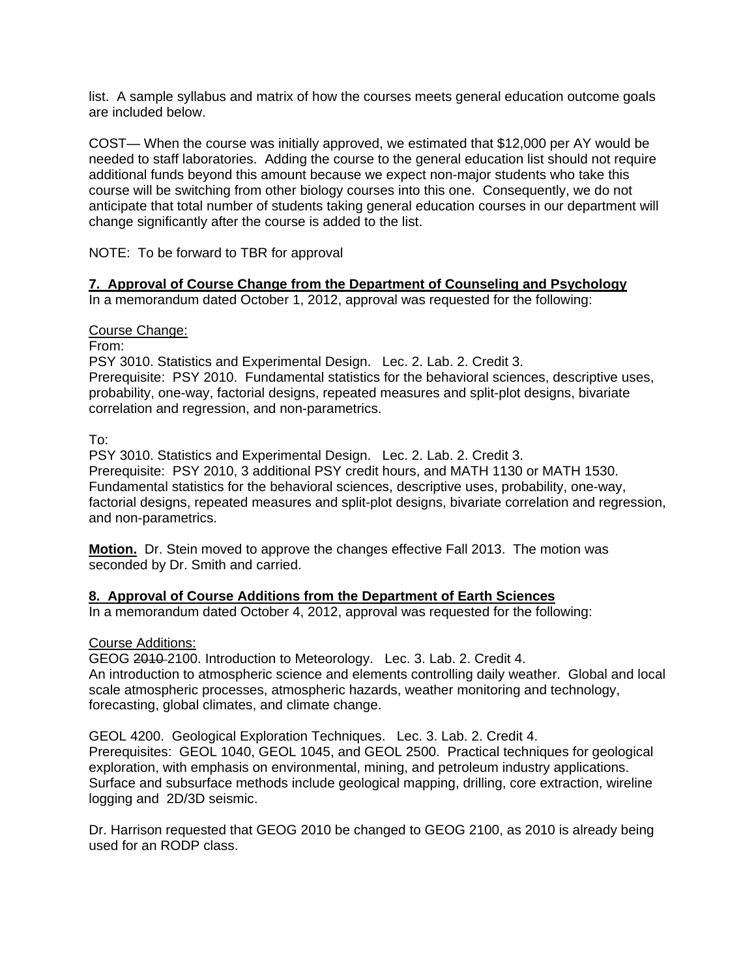list. A sample syllabus and matrix of how the courses meets general education outcome goals are included below.

COST— When the course was initially approved, we estimated that \$12,000 per AY would be needed to staff laboratories. Adding the course to the general education list should not require additional funds beyond this amount because we expect non-major students who take this course will be switching from other biology courses into this one. Consequently, we do not anticipate that total number of students taking general education courses in our department will change significantly after the course is added to the list.

NOTE: To be forward to TBR for approval

## **7. Approval of Course Change from the Department of Counseling and Psychology**

In a memorandum dated October 1, 2012, approval was requested for the following:

## Course Change:

From:

PSY 3010. Statistics and Experimental Design. Lec. 2. Lab. 2. Credit 3.

Prerequisite: PSY 2010. Fundamental statistics for the behavioral sciences, descriptive uses, probability, one-way, factorial designs, repeated measures and split-plot designs, bivariate correlation and regression, and non-parametrics.

To:

PSY 3010. Statistics and Experimental Design. Lec. 2. Lab. 2. Credit 3. Prerequisite: PSY 2010, 3 additional PSY credit hours, and MATH 1130 or MATH 1530. Fundamental statistics for the behavioral sciences, descriptive uses, probability, one-way, factorial designs, repeated measures and split-plot designs, bivariate correlation and regression, and non-parametrics.

**Motion.** Dr. Stein moved to approve the changes effective Fall 2013. The motion was seconded by Dr. Smith and carried.

## **8. Approval of Course Additions from the Department of Earth Sciences**

In a memorandum dated October 4, 2012, approval was requested for the following:

Course Additions:

GEOG 2010 2100. Introduction to Meteorology. Lec. 3. Lab. 2. Credit 4. An introduction to atmospheric science and elements controlling daily weather. Global and local scale atmospheric processes, atmospheric hazards, weather monitoring and technology, forecasting, global climates, and climate change.

GEOL 4200. Geological Exploration Techniques. Lec. 3. Lab. 2. Credit 4. Prerequisites: GEOL 1040, GEOL 1045, and GEOL 2500. Practical techniques for geological exploration, with emphasis on environmental, mining, and petroleum industry applications. Surface and subsurface methods include geological mapping, drilling, core extraction, wireline logging and 2D/3D seismic.

Dr. Harrison requested that GEOG 2010 be changed to GEOG 2100, as 2010 is already being used for an RODP class.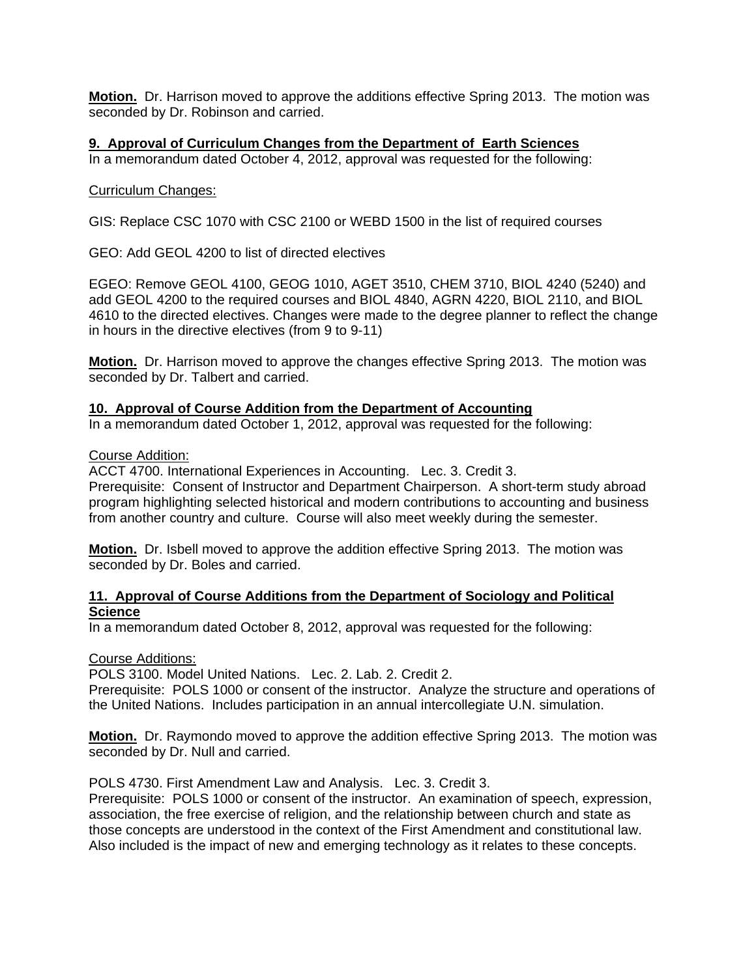**Motion.** Dr. Harrison moved to approve the additions effective Spring 2013. The motion was seconded by Dr. Robinson and carried.

## **9. Approval of Curriculum Changes from the Department of Earth Sciences**

In a memorandum dated October 4, 2012, approval was requested for the following:

#### Curriculum Changes:

GIS: Replace CSC 1070 with CSC 2100 or WEBD 1500 in the list of required courses

GEO: Add GEOL 4200 to list of directed electives

EGEO: Remove GEOL 4100, GEOG 1010, AGET 3510, CHEM 3710, BIOL 4240 (5240) and add GEOL 4200 to the required courses and BIOL 4840, AGRN 4220, BIOL 2110, and BIOL 4610 to the directed electives. Changes were made to the degree planner to reflect the change in hours in the directive electives (from 9 to 9-11)

**Motion.** Dr. Harrison moved to approve the changes effective Spring 2013. The motion was seconded by Dr. Talbert and carried.

#### **10. Approval of Course Addition from the Department of Accounting**

In a memorandum dated October 1, 2012, approval was requested for the following:

#### Course Addition:

ACCT 4700. International Experiences in Accounting. Lec. 3. Credit 3.

Prerequisite: Consent of Instructor and Department Chairperson. A short-term study abroad program highlighting selected historical and modern contributions to accounting and business from another country and culture. Course will also meet weekly during the semester.

**Motion.** Dr. Isbell moved to approve the addition effective Spring 2013. The motion was seconded by Dr. Boles and carried.

#### **11. Approval of Course Additions from the Department of Sociology and Political Science**

In a memorandum dated October 8, 2012, approval was requested for the following:

#### Course Additions:

POLS 3100. Model United Nations. Lec. 2. Lab. 2. Credit 2.

Prerequisite: POLS 1000 or consent of the instructor. Analyze the structure and operations of the United Nations. Includes participation in an annual intercollegiate U.N. simulation.

**Motion.** Dr. Raymondo moved to approve the addition effective Spring 2013. The motion was seconded by Dr. Null and carried.

POLS 4730. First Amendment Law and Analysis. Lec. 3. Credit 3.

Prerequisite: POLS 1000 or consent of the instructor. An examination of speech, expression, association, the free exercise of religion, and the relationship between church and state as those concepts are understood in the context of the First Amendment and constitutional law. Also included is the impact of new and emerging technology as it relates to these concepts.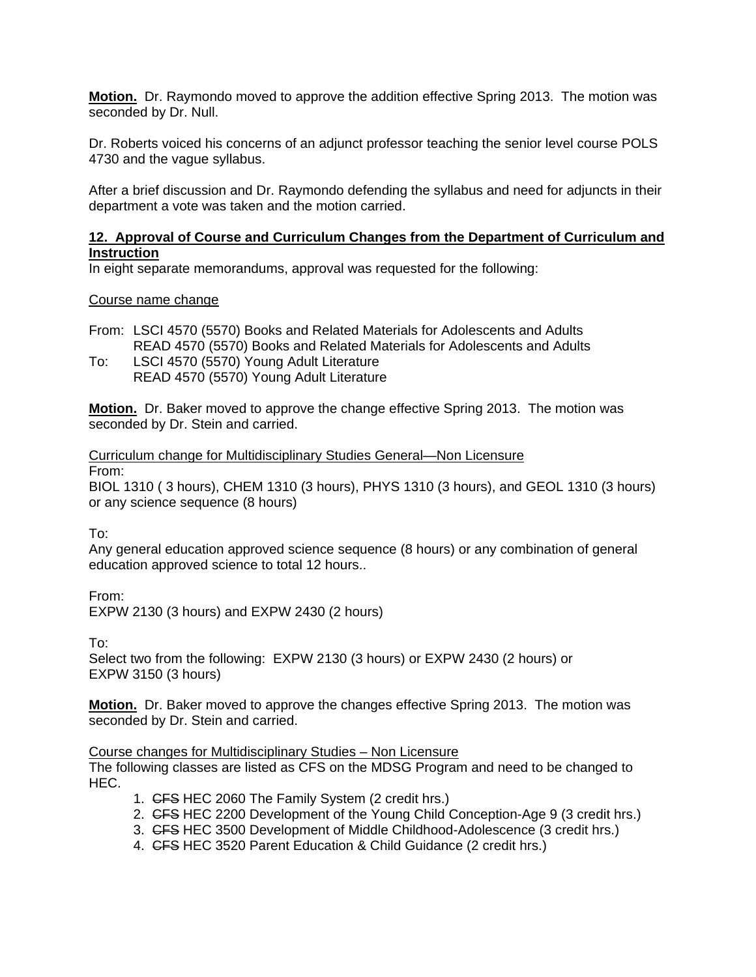**Motion.** Dr. Raymondo moved to approve the addition effective Spring 2013. The motion was seconded by Dr. Null.

Dr. Roberts voiced his concerns of an adjunct professor teaching the senior level course POLS 4730 and the vague syllabus.

After a brief discussion and Dr. Raymondo defending the syllabus and need for adjuncts in their department a vote was taken and the motion carried.

## **12. Approval of Course and Curriculum Changes from the Department of Curriculum and Instruction**

In eight separate memorandums, approval was requested for the following:

#### Course name change

From: LSCI 4570 (5570) Books and Related Materials for Adolescents and Adults READ 4570 (5570) Books and Related Materials for Adolescents and Adults

To: LSCI 4570 (5570) Young Adult Literature READ 4570 (5570) Young Adult Literature

**Motion.** Dr. Baker moved to approve the change effective Spring 2013. The motion was seconded by Dr. Stein and carried.

Curriculum change for Multidisciplinary Studies General—Non Licensure From:

BIOL 1310 ( 3 hours), CHEM 1310 (3 hours), PHYS 1310 (3 hours), and GEOL 1310 (3 hours) or any science sequence (8 hours)

To:

Any general education approved science sequence (8 hours) or any combination of general education approved science to total 12 hours..

From:

EXPW 2130 (3 hours) and EXPW 2430 (2 hours)

To:

Select two from the following: EXPW 2130 (3 hours) or EXPW 2430 (2 hours) or EXPW 3150 (3 hours)

**Motion.** Dr. Baker moved to approve the changes effective Spring 2013. The motion was seconded by Dr. Stein and carried.

#### Course changes for Multidisciplinary Studies – Non Licensure

The following classes are listed as CFS on the MDSG Program and need to be changed to HEC.

- 1. CFS HEC 2060 The Family System (2 credit hrs.)
- 2. CFS HEC 2200 Development of the Young Child Conception-Age 9 (3 credit hrs.)
- 3. CFS HEC 3500 Development of Middle Childhood-Adolescence (3 credit hrs.)
- 4. CFS HEC 3520 Parent Education & Child Guidance (2 credit hrs.)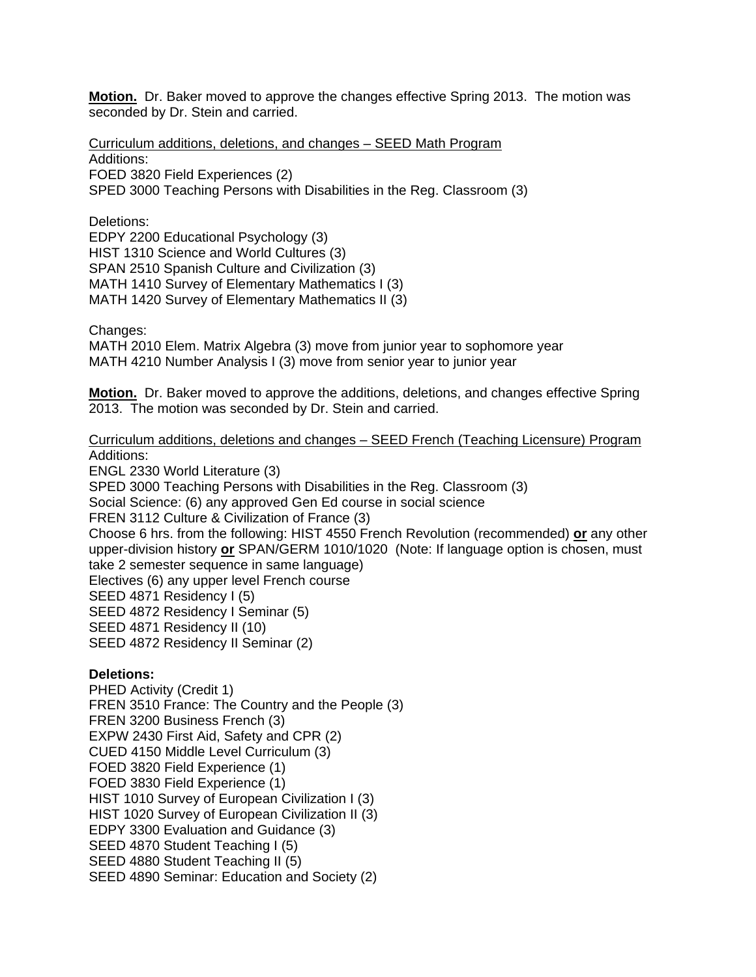**Motion.** Dr. Baker moved to approve the changes effective Spring 2013. The motion was seconded by Dr. Stein and carried.

Curriculum additions, deletions, and changes – SEED Math Program

Additions:

FOED 3820 Field Experiences (2)

SPED 3000 Teaching Persons with Disabilities in the Reg. Classroom (3)

Deletions:

EDPY 2200 Educational Psychology (3) HIST 1310 Science and World Cultures (3) SPAN 2510 Spanish Culture and Civilization (3) MATH 1410 Survey of Elementary Mathematics I (3) MATH 1420 Survey of Elementary Mathematics II (3)

Changes:

MATH 2010 Elem. Matrix Algebra (3) move from junior year to sophomore year MATH 4210 Number Analysis I (3) move from senior year to junior year

**Motion.** Dr. Baker moved to approve the additions, deletions, and changes effective Spring 2013. The motion was seconded by Dr. Stein and carried.

## Curriculum additions, deletions and changes – SEED French (Teaching Licensure) Program Additions:

ENGL 2330 World Literature (3) SPED 3000 Teaching Persons with Disabilities in the Reg. Classroom (3) Social Science: (6) any approved Gen Ed course in social science FREN 3112 Culture & Civilization of France (3) Choose 6 hrs. from the following: HIST 4550 French Revolution (recommended) **or** any other upper-division history **or** SPAN/GERM 1010/1020 (Note: If language option is chosen, must take 2 semester sequence in same language) Electives (6) any upper level French course SEED 4871 Residency I (5) SEED 4872 Residency I Seminar (5) SEED 4871 Residency II (10) SEED 4872 Residency II Seminar (2)

## **Deletions:**

PHED Activity (Credit 1) FREN 3510 France: The Country and the People (3) FREN 3200 Business French (3) EXPW 2430 First Aid, Safety and CPR (2) CUED 4150 Middle Level Curriculum (3) FOED 3820 Field Experience (1) FOED 3830 Field Experience (1) HIST 1010 Survey of European Civilization I (3) HIST 1020 Survey of European Civilization II (3) EDPY 3300 Evaluation and Guidance (3) SEED 4870 Student Teaching I (5) SEED 4880 Student Teaching II (5) SEED 4890 Seminar: Education and Society (2)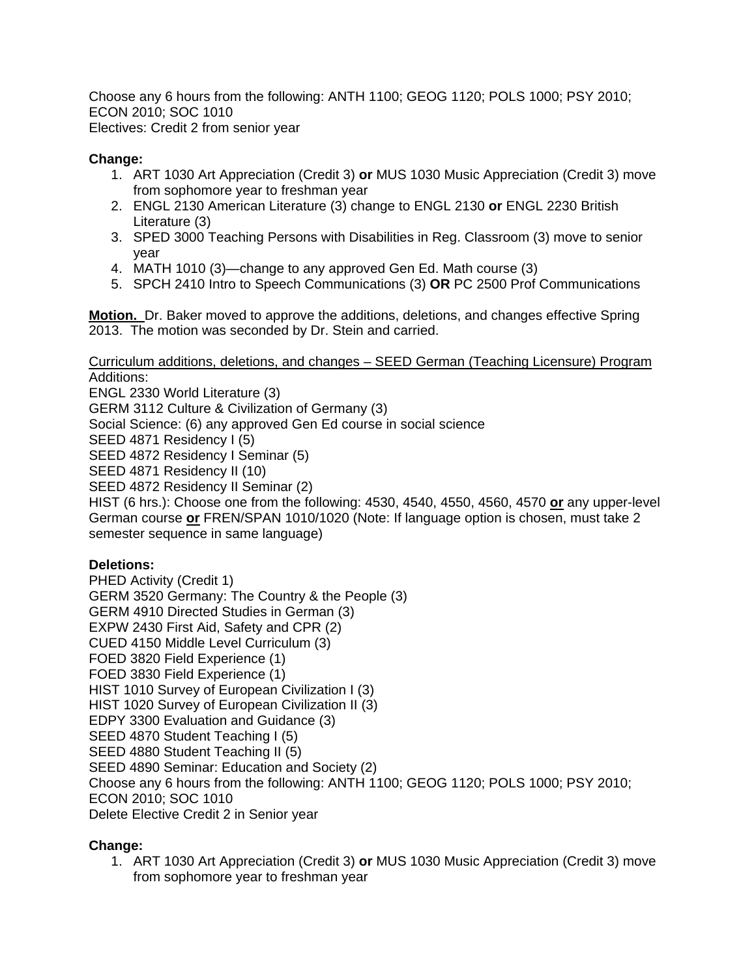Choose any 6 hours from the following: ANTH 1100; GEOG 1120; POLS 1000; PSY 2010; ECON 2010; SOC 1010 Electives: Credit 2 from senior year

## **Change:**

- 1. ART 1030 Art Appreciation (Credit 3) **or** MUS 1030 Music Appreciation (Credit 3) move from sophomore year to freshman year
- 2. ENGL 2130 American Literature (3) change to ENGL 2130 **or** ENGL 2230 British Literature (3)
- 3. SPED 3000 Teaching Persons with Disabilities in Reg. Classroom (3) move to senior year
- 4. MATH 1010 (3)—change to any approved Gen Ed. Math course (3)
- 5. SPCH 2410 Intro to Speech Communications (3) **OR** PC 2500 Prof Communications

**Motion.** Dr. Baker moved to approve the additions, deletions, and changes effective Spring 2013. The motion was seconded by Dr. Stein and carried.

Curriculum additions, deletions, and changes – SEED German (Teaching Licensure) Program Additions:

ENGL 2330 World Literature (3) GERM 3112 Culture & Civilization of Germany (3) Social Science: (6) any approved Gen Ed course in social science SEED 4871 Residency I (5) SEED 4872 Residency I Seminar (5) SEED 4871 Residency II (10) SEED 4872 Residency II Seminar (2) HIST (6 hrs.): Choose one from the following: 4530, 4540, 4550, 4560, 4570 **or** any upper-level

German course **or** FREN/SPAN 1010/1020 (Note: If language option is chosen, must take 2 semester sequence in same language)

## **Deletions:**

PHED Activity (Credit 1) GERM 3520 Germany: The Country & the People (3) GERM 4910 Directed Studies in German (3) EXPW 2430 First Aid, Safety and CPR (2) CUED 4150 Middle Level Curriculum (3) FOED 3820 Field Experience (1) FOED 3830 Field Experience (1) HIST 1010 Survey of European Civilization I (3) HIST 1020 Survey of European Civilization II (3) EDPY 3300 Evaluation and Guidance (3) SEED 4870 Student Teaching I (5) SEED 4880 Student Teaching II (5) SEED 4890 Seminar: Education and Society (2) Choose any 6 hours from the following: ANTH 1100; GEOG 1120; POLS 1000; PSY 2010; ECON 2010; SOC 1010 Delete Elective Credit 2 in Senior year

## **Change:**

1. ART 1030 Art Appreciation (Credit 3) **or** MUS 1030 Music Appreciation (Credit 3) move from sophomore year to freshman year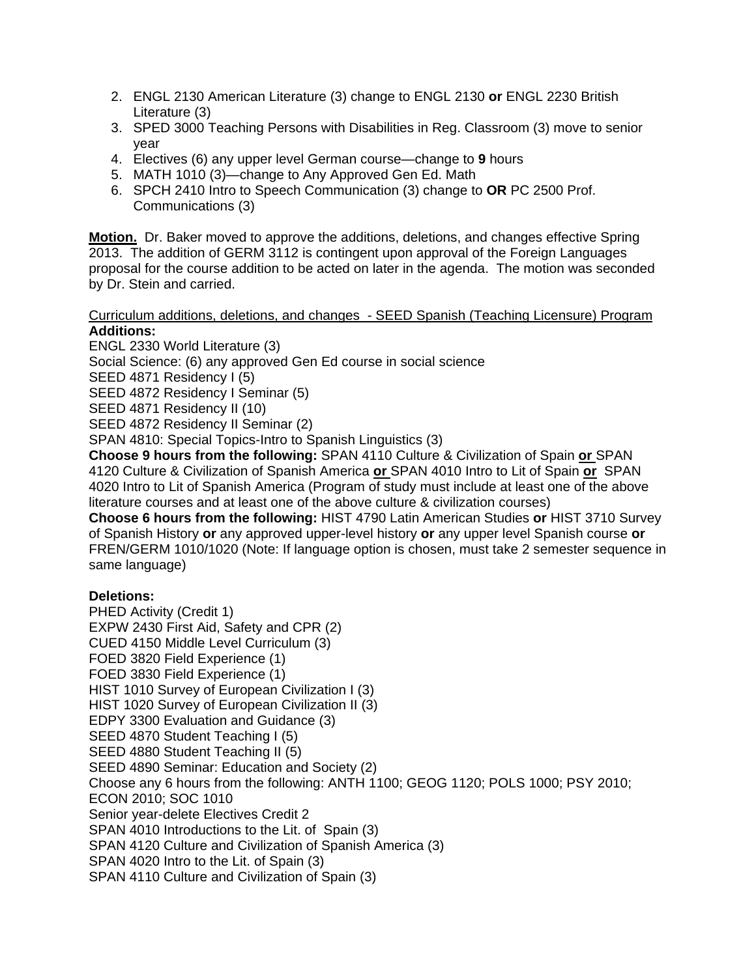- 2. ENGL 2130 American Literature (3) change to ENGL 2130 **or** ENGL 2230 British Literature (3)
- 3. SPED 3000 Teaching Persons with Disabilities in Reg. Classroom (3) move to senior year
- 4. Electives (6) any upper level German course—change to **9** hours
- 5. MATH 1010 (3)—change to Any Approved Gen Ed. Math
- 6. SPCH 2410 Intro to Speech Communication (3) change to **OR** PC 2500 Prof. Communications (3)

**Motion.** Dr. Baker moved to approve the additions, deletions, and changes effective Spring 2013. The addition of GERM 3112 is contingent upon approval of the Foreign Languages proposal for the course addition to be acted on later in the agenda. The motion was seconded by Dr. Stein and carried.

#### Curriculum additions, deletions, and changes - SEED Spanish (Teaching Licensure) Program **Additions:**

ENGL 2330 World Literature (3)

Social Science: (6) any approved Gen Ed course in social science

SEED 4871 Residency I (5)

SEED 4872 Residency I Seminar (5)

SEED 4871 Residency II (10)

SEED 4872 Residency II Seminar (2)

SPAN 4810: Special Topics-Intro to Spanish Linguistics (3)

**Choose 9 hours from the following:** SPAN 4110 Culture & Civilization of Spain **or** SPAN 4120 Culture & Civilization of Spanish America **or** SPAN 4010 Intro to Lit of Spain **or** SPAN 4020 Intro to Lit of Spanish America (Program of study must include at least one of the above literature courses and at least one of the above culture & civilization courses)

**Choose 6 hours from the following:** HIST 4790 Latin American Studies **or** HIST 3710 Survey of Spanish History **or** any approved upper-level history **or** any upper level Spanish course **or** FREN/GERM 1010/1020 (Note: If language option is chosen, must take 2 semester sequence in same language)

## **Deletions:**

PHED Activity (Credit 1) EXPW 2430 First Aid, Safety and CPR (2) CUED 4150 Middle Level Curriculum (3) FOED 3820 Field Experience (1) FOED 3830 Field Experience (1) HIST 1010 Survey of European Civilization I (3) HIST 1020 Survey of European Civilization II (3) EDPY 3300 Evaluation and Guidance (3) SEED 4870 Student Teaching I (5) SEED 4880 Student Teaching II (5) SEED 4890 Seminar: Education and Society (2) Choose any 6 hours from the following: ANTH 1100; GEOG 1120; POLS 1000; PSY 2010; ECON 2010; SOC 1010 Senior year-delete Electives Credit 2 SPAN 4010 Introductions to the Lit. of Spain (3) SPAN 4120 Culture and Civilization of Spanish America (3) SPAN 4020 Intro to the Lit. of Spain (3) SPAN 4110 Culture and Civilization of Spain (3)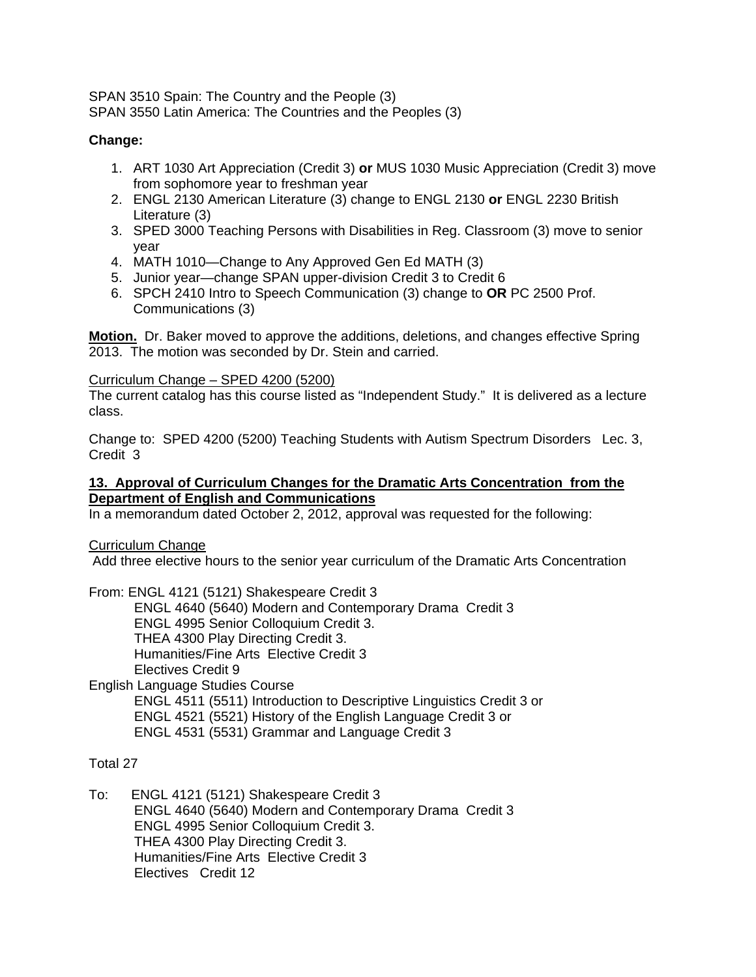SPAN 3510 Spain: The Country and the People (3) SPAN 3550 Latin America: The Countries and the Peoples (3)

## **Change:**

- 1. ART 1030 Art Appreciation (Credit 3) **or** MUS 1030 Music Appreciation (Credit 3) move from sophomore year to freshman year
- 2. ENGL 2130 American Literature (3) change to ENGL 2130 **or** ENGL 2230 British Literature (3)
- 3. SPED 3000 Teaching Persons with Disabilities in Reg. Classroom (3) move to senior year
- 4. MATH 1010—Change to Any Approved Gen Ed MATH (3)
- 5. Junior year—change SPAN upper-division Credit 3 to Credit 6
- 6. SPCH 2410 Intro to Speech Communication (3) change to **OR** PC 2500 Prof. Communications (3)

**Motion.** Dr. Baker moved to approve the additions, deletions, and changes effective Spring 2013. The motion was seconded by Dr. Stein and carried.

## Curriculum Change – SPED 4200 (5200)

The current catalog has this course listed as "Independent Study." It is delivered as a lecture class.

Change to: SPED 4200 (5200) Teaching Students with Autism Spectrum Disorders Lec. 3, Credit 3

## **13. Approval of Curriculum Changes for the Dramatic Arts Concentration from the Department of English and Communications**

In a memorandum dated October 2, 2012, approval was requested for the following:

Curriculum Change

Add three elective hours to the senior year curriculum of the Dramatic Arts Concentration

From: ENGL 4121 (5121) Shakespeare Credit 3 ENGL 4640 (5640) Modern and Contemporary Drama Credit 3 ENGL 4995 Senior Colloquium Credit 3. THEA 4300 Play Directing Credit 3. Humanities/Fine Arts Elective Credit 3 Electives Credit 9

English Language Studies Course ENGL 4511 (5511) Introduction to Descriptive Linguistics Credit 3 or ENGL 4521 (5521) History of the English Language Credit 3 or ENGL 4531 (5531) Grammar and Language Credit 3

## Total 27

To: ENGL 4121 (5121) Shakespeare Credit 3 ENGL 4640 (5640) Modern and Contemporary Drama Credit 3 ENGL 4995 Senior Colloquium Credit 3. THEA 4300 Play Directing Credit 3. Humanities/Fine Arts Elective Credit 3 Electives Credit 12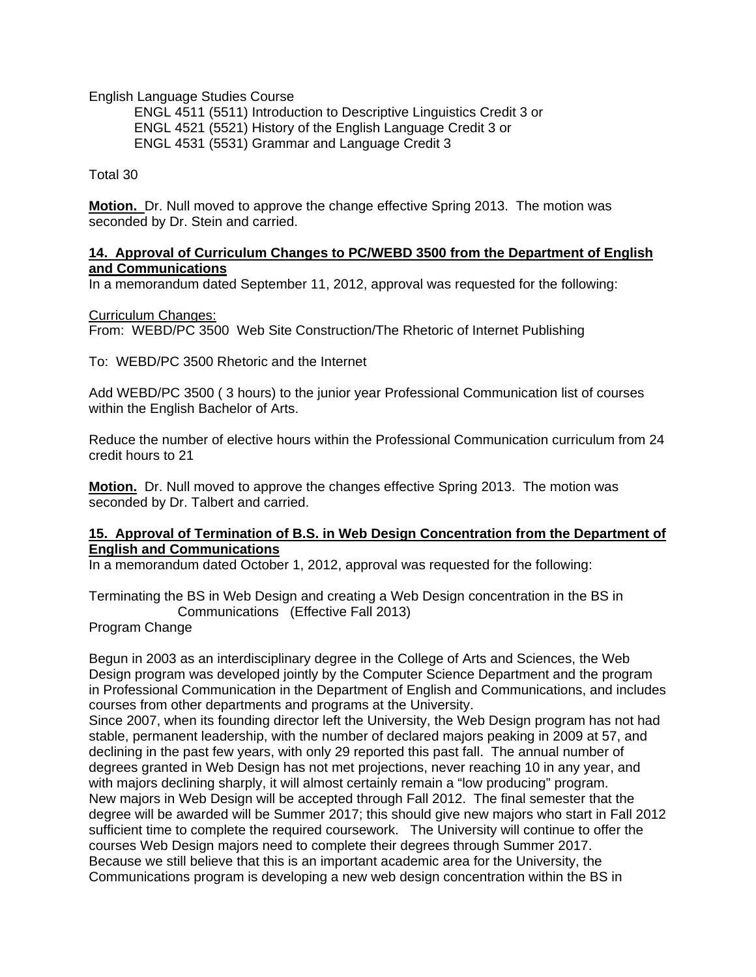English Language Studies Course

 ENGL 4511 (5511) Introduction to Descriptive Linguistics Credit 3 or ENGL 4521 (5521) History of the English Language Credit 3 or ENGL 4531 (5531) Grammar and Language Credit 3

Total 30

**Motion.** Dr. Null moved to approve the change effective Spring 2013. The motion was seconded by Dr. Stein and carried.

#### **14. Approval of Curriculum Changes to PC/WEBD 3500 from the Department of English and Communications**

In a memorandum dated September 11, 2012, approval was requested for the following:

#### Curriculum Changes:

From: WEBD/PC 3500 Web Site Construction/The Rhetoric of Internet Publishing

To: WEBD/PC 3500 Rhetoric and the Internet

Add WEBD/PC 3500 ( 3 hours) to the junior year Professional Communication list of courses within the English Bachelor of Arts.

Reduce the number of elective hours within the Professional Communication curriculum from 24 credit hours to 21

**Motion.** Dr. Null moved to approve the changes effective Spring 2013. The motion was seconded by Dr. Talbert and carried.

#### **15. Approval of Termination of B.S. in Web Design Concentration from the Department of English and Communications**

In a memorandum dated October 1, 2012, approval was requested for the following:

Terminating the BS in Web Design and creating a Web Design concentration in the BS in Communications (Effective Fall 2013)

Program Change

Begun in 2003 as an interdisciplinary degree in the College of Arts and Sciences, the Web Design program was developed jointly by the Computer Science Department and the program in Professional Communication in the Department of English and Communications, and includes courses from other departments and programs at the University.

Since 2007, when its founding director left the University, the Web Design program has not had stable, permanent leadership, with the number of declared majors peaking in 2009 at 57, and declining in the past few years, with only 29 reported this past fall. The annual number of degrees granted in Web Design has not met projections, never reaching 10 in any year, and with majors declining sharply, it will almost certainly remain a "low producing" program. New majors in Web Design will be accepted through Fall 2012. The final semester that the degree will be awarded will be Summer 2017; this should give new majors who start in Fall 2012 sufficient time to complete the required coursework. The University will continue to offer the courses Web Design majors need to complete their degrees through Summer 2017. Because we still believe that this is an important academic area for the University, the Communications program is developing a new web design concentration within the BS in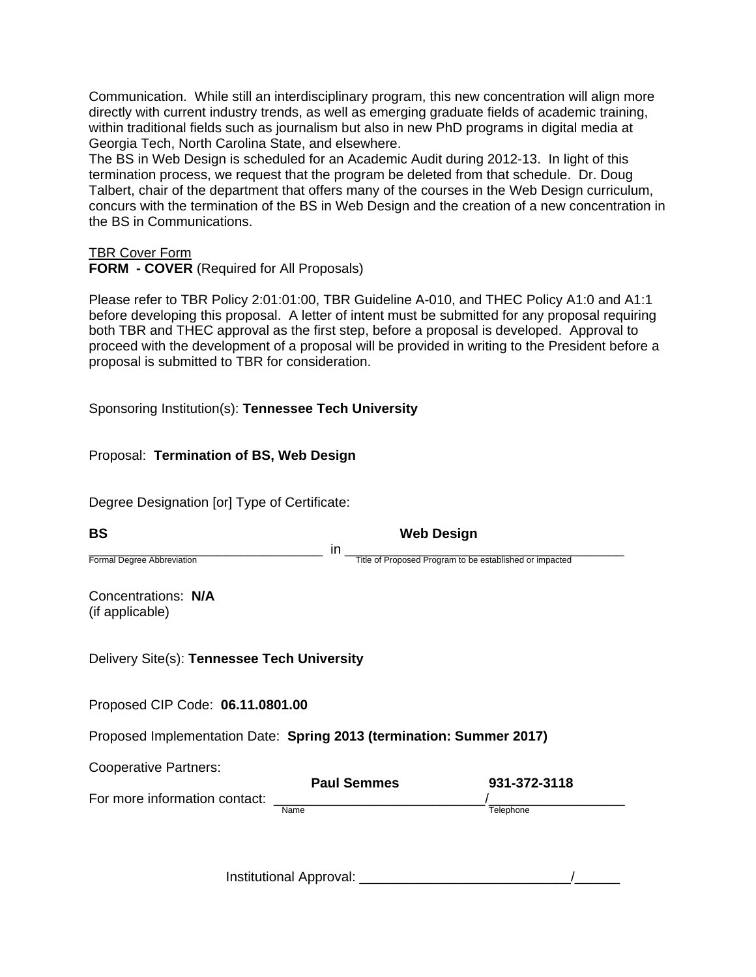Communication. While still an interdisciplinary program, this new concentration will align more directly with current industry trends, as well as emerging graduate fields of academic training, within traditional fields such as journalism but also in new PhD programs in digital media at Georgia Tech, North Carolina State, and elsewhere.

The BS in Web Design is scheduled for an Academic Audit during 2012-13. In light of this termination process, we request that the program be deleted from that schedule. Dr. Doug Talbert, chair of the department that offers many of the courses in the Web Design curriculum, concurs with the termination of the BS in Web Design and the creation of a new concentration in the BS in Communications.

TBR Cover Form

**FORM - COVER** (Required for All Proposals)

Please refer to TBR Policy 2:01:01:00, TBR Guideline A-010, and THEC Policy A1:0 and A1:1 before developing this proposal. A letter of intent must be submitted for any proposal requiring both TBR and THEC approval as the first step, before a proposal is developed. Approval to proceed with the development of a proposal will be provided in writing to the President before a proposal is submitted to TBR for consideration.

Sponsoring Institution(s): **Tennessee Tech University**

Proposal: **Termination of BS, Web Design**

Degree Designation [or] Type of Certificate:

| <b>BS</b>                                                            |                            | <b>Web Design</b>                                       |
|----------------------------------------------------------------------|----------------------------|---------------------------------------------------------|
| Formal Degree Abbreviation                                           | in                         | Title of Proposed Program to be established or impacted |
| Concentrations: N/A<br>(if applicable)                               |                            |                                                         |
| Delivery Site(s): Tennessee Tech University                          |                            |                                                         |
| Proposed CIP Code: 06.11.0801.00                                     |                            |                                                         |
| Proposed Implementation Date: Spring 2013 (termination: Summer 2017) |                            |                                                         |
| <b>Cooperative Partners:</b>                                         |                            |                                                         |
| For more information contact:                                        | <b>Paul Semmes</b><br>Name | 931-372-3118<br>Telephone                               |
|                                                                      |                            |                                                         |
|                                                                      | Institutional Approval:    |                                                         |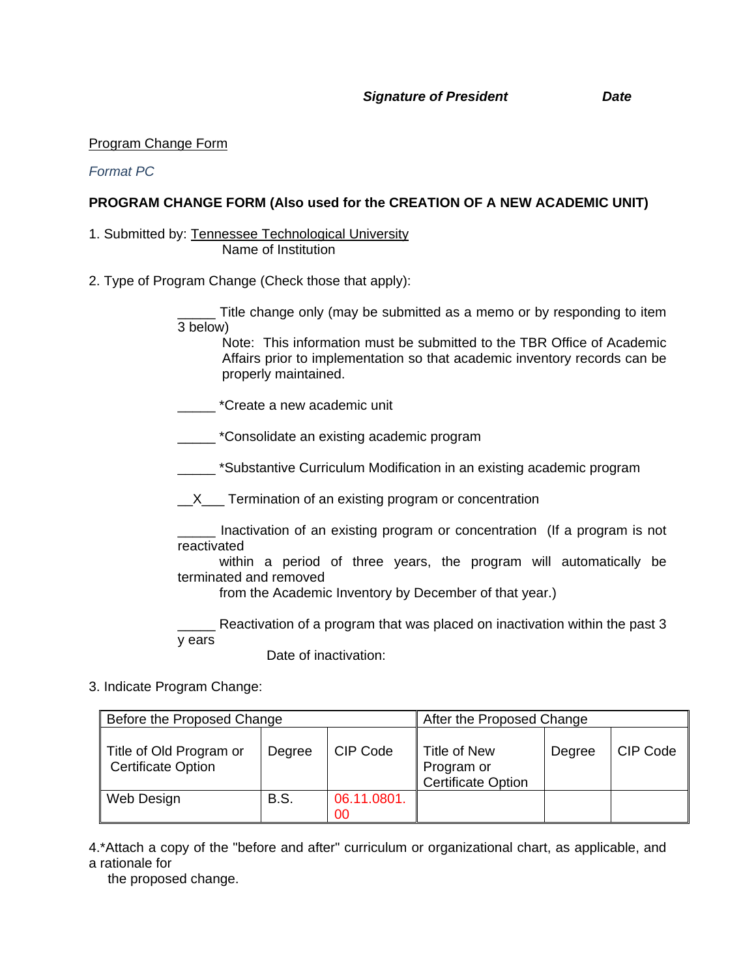#### Program Change Form

*Format PC* 

## **PROGRAM CHANGE FORM (Also used for the CREATION OF A NEW ACADEMIC UNIT)**

1. Submitted by: Tennessee Technological University Name of Institution

2. Type of Program Change (Check those that apply):

\_\_\_\_\_ Title change only (may be submitted as a memo or by responding to item 3 below)

Note: This information must be submitted to the TBR Office of Academic Affairs prior to implementation so that academic inventory records can be properly maintained.

- \_\_\_\_\_ \*Create a new academic unit
- \_\_\_\_\_ \*Consolidate an existing academic program

**Substantive Curriculum Modification in an existing academic program** 

**\_\_X\_\_\_** Termination of an existing program or concentration

Inactivation of an existing program or concentration (If a program is not reactivated

 within a period of three years, the program will automatically be terminated and removed

from the Academic Inventory by December of that year.)

\_\_\_\_\_ Reactivation of a program that was placed on inactivation within the past 3 y ears

Date of inactivation:

3. Indicate Program Change:

| Before the Proposed Change                           | After the Proposed Change |                   |                                                                |        |          |
|------------------------------------------------------|---------------------------|-------------------|----------------------------------------------------------------|--------|----------|
| Title of Old Program or<br><b>Certificate Option</b> | Degree                    | CIP Code          | <b>Title of New</b><br>Program or<br><b>Certificate Option</b> | Degree | CIP Code |
| Web Design                                           | <b>B.S.</b>               | 06.11.0801.<br>00 |                                                                |        |          |

4.\*Attach a copy of the "before and after" curriculum or organizational chart, as applicable, and a rationale for

the proposed change.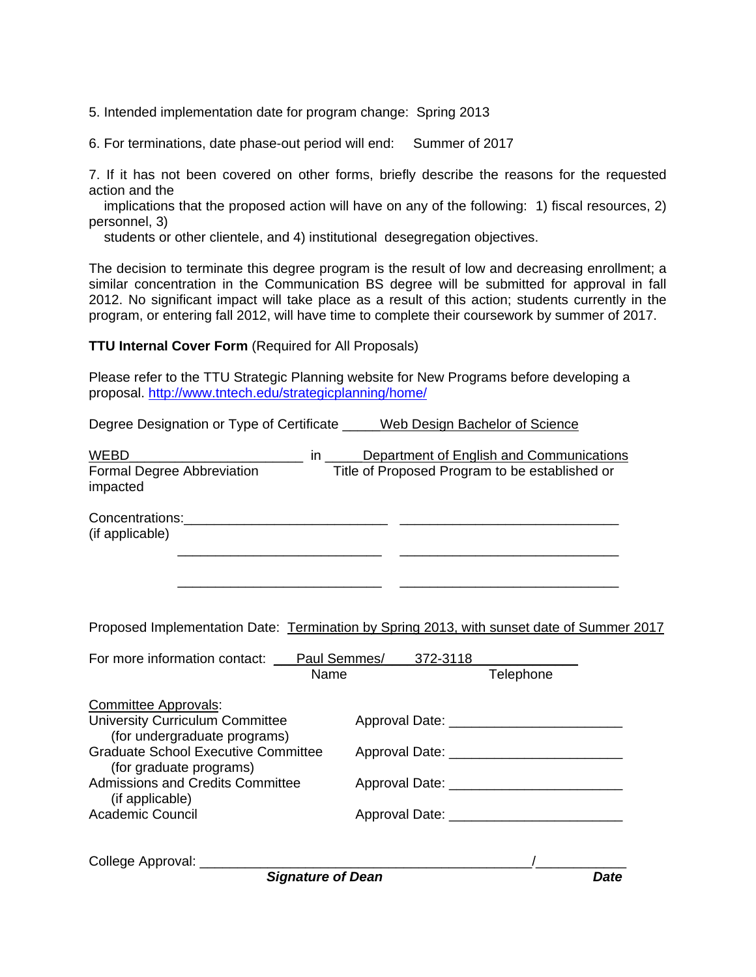5. Intended implementation date for program change: Spring 2013

6. For terminations, date phase-out period will end: Summer of 2017

7. If it has not been covered on other forms, briefly describe the reasons for the requested action and the

 implications that the proposed action will have on any of the following: 1) fiscal resources, 2) personnel, 3)

students or other clientele, and 4) institutional desegregation objectives.

The decision to terminate this degree program is the result of low and decreasing enrollment; a similar concentration in the Communication BS degree will be submitted for approval in fall 2012. No significant impact will take place as a result of this action; students currently in the program, or entering fall 2012, will have time to complete their coursework by summer of 2017.

#### **TTU Internal Cover Form** (Required for All Proposals)

Please refer to the TTU Strategic Planning website for New Programs before developing a proposal. http://www.tntech.edu/strategicplanning/home/

Degree Designation or Type of Certificate \_\_\_\_\_Web Design Bachelor of Science

| <b>WEBD</b><br>$\mathsf{in}$ and $\mathsf{in}$                                                                                                      | Department of English and Communications                                                  |
|-----------------------------------------------------------------------------------------------------------------------------------------------------|-------------------------------------------------------------------------------------------|
| Formal Degree Abbreviation<br>impacted                                                                                                              | Title of Proposed Program to be established or                                            |
| (if applicable)                                                                                                                                     |                                                                                           |
|                                                                                                                                                     | Proposed Implementation Date: Termination by Spring 2013, with sunset date of Summer 2017 |
| For more information contact: Paul Semmes/2372-3118                                                                                                 |                                                                                           |
| Name                                                                                                                                                | Telephone                                                                                 |
| <b>Committee Approvals:</b><br><b>University Curriculum Committee</b><br>(for undergraduate programs)<br><b>Graduate School Executive Committee</b> |                                                                                           |
| (for graduate programs)<br><b>Admissions and Credits Committee</b><br>(if applicable)                                                               | Approval Date: ____________________________                                               |
| <b>Academic Council</b>                                                                                                                             |                                                                                           |
| College Approval: ________<br><b>Signature of Dean</b>                                                                                              | <b>Date</b>                                                                               |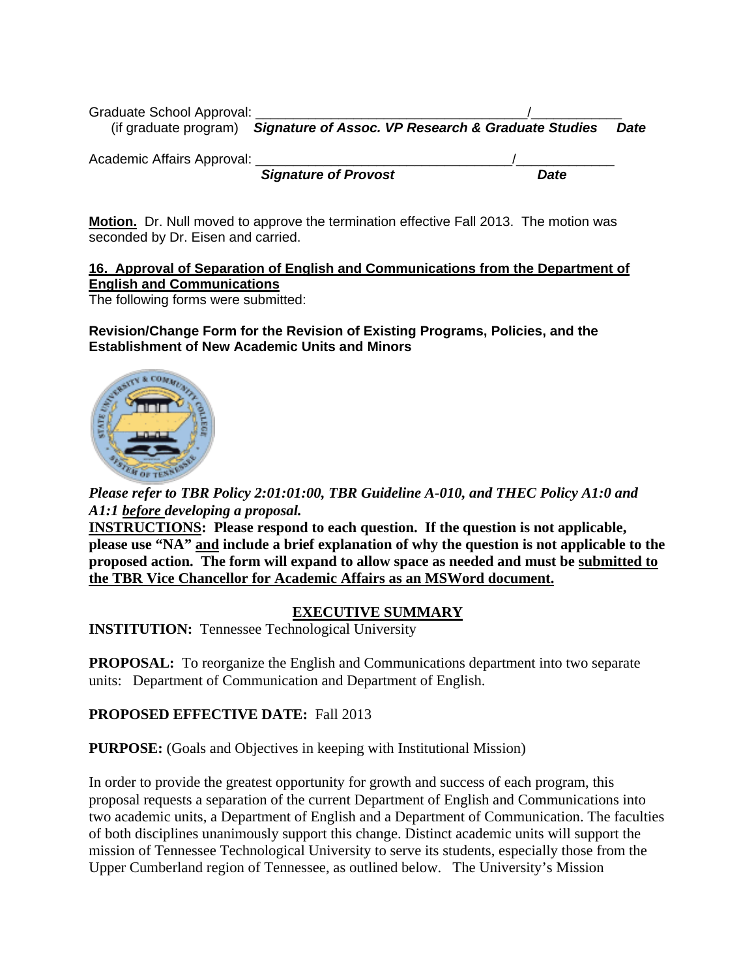| Graduate School Approval:  |                                                                          |             |             |
|----------------------------|--------------------------------------------------------------------------|-------------|-------------|
|                            | (if graduate program) Signature of Assoc. VP Research & Graduate Studies |             | <b>Date</b> |
| Academic Affairs Approval: |                                                                          |             |             |
|                            | <b>Signature of Provost</b>                                              | <b>Date</b> |             |

**Motion.** Dr. Null moved to approve the termination effective Fall 2013. The motion was seconded by Dr. Eisen and carried.

## **16. Approval of Separation of English and Communications from the Department of English and Communications**

The following forms were submitted:

## **Revision/Change Form for the Revision of Existing Programs, Policies, and the Establishment of New Academic Units and Minors**



*Please refer to TBR Policy 2:01:01:00, TBR Guideline A-010, and THEC Policy A1:0 and A1:1 before developing a proposal.* 

**INSTRUCTIONS: Please respond to each question. If the question is not applicable, please use "NA" and include a brief explanation of why the question is not applicable to the proposed action. The form will expand to allow space as needed and must be submitted to the TBR Vice Chancellor for Academic Affairs as an MSWord document.** 

## **EXECUTIVE SUMMARY**

**INSTITUTION:** Tennessee Technological University

**PROPOSAL:** To reorganize the English and Communications department into two separate units: Department of Communication and Department of English.

## **PROPOSED EFFECTIVE DATE:** Fall 2013

**PURPOSE:** (Goals and Objectives in keeping with Institutional Mission)

In order to provide the greatest opportunity for growth and success of each program, this proposal requests a separation of the current Department of English and Communications into two academic units, a Department of English and a Department of Communication. The faculties of both disciplines unanimously support this change. Distinct academic units will support the mission of Tennessee Technological University to serve its students, especially those from the Upper Cumberland region of Tennessee, as outlined below. The University's Mission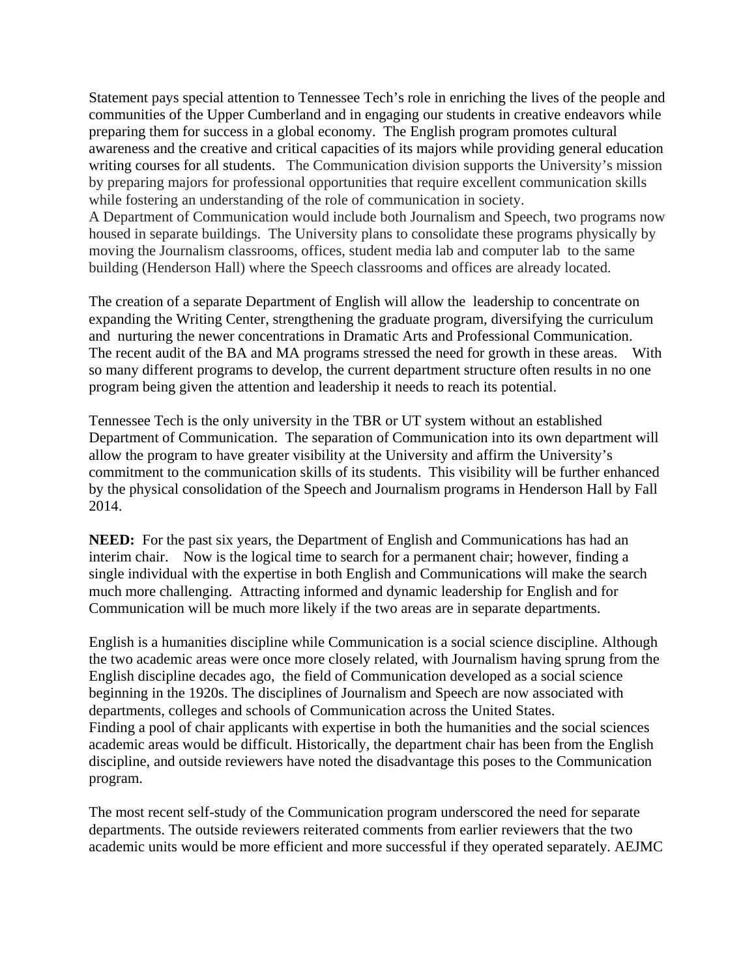Statement pays special attention to Tennessee Tech's role in enriching the lives of the people and communities of the Upper Cumberland and in engaging our students in creative endeavors while preparing them for success in a global economy. The English program promotes cultural awareness and the creative and critical capacities of its majors while providing general education writing courses for all students. The Communication division supports the University's mission by preparing majors for professional opportunities that require excellent communication skills while fostering an understanding of the role of communication in society. A Department of Communication would include both Journalism and Speech, two programs now housed in separate buildings. The University plans to consolidate these programs physically by moving the Journalism classrooms, offices, student media lab and computer lab to the same building (Henderson Hall) where the Speech classrooms and offices are already located.

The creation of a separate Department of English will allow the leadership to concentrate on expanding the Writing Center, strengthening the graduate program, diversifying the curriculum and nurturing the newer concentrations in Dramatic Arts and Professional Communication. The recent audit of the BA and MA programs stressed the need for growth in these areas. With so many different programs to develop, the current department structure often results in no one program being given the attention and leadership it needs to reach its potential.

Tennessee Tech is the only university in the TBR or UT system without an established Department of Communication. The separation of Communication into its own department will allow the program to have greater visibility at the University and affirm the University's commitment to the communication skills of its students. This visibility will be further enhanced by the physical consolidation of the Speech and Journalism programs in Henderson Hall by Fall 2014.

**NEED:** For the past six years, the Department of English and Communications has had an interim chair. Now is the logical time to search for a permanent chair; however, finding a single individual with the expertise in both English and Communications will make the search much more challenging. Attracting informed and dynamic leadership for English and for Communication will be much more likely if the two areas are in separate departments.

English is a humanities discipline while Communication is a social science discipline. Although the two academic areas were once more closely related, with Journalism having sprung from the English discipline decades ago, the field of Communication developed as a social science beginning in the 1920s. The disciplines of Journalism and Speech are now associated with departments, colleges and schools of Communication across the United States. Finding a pool of chair applicants with expertise in both the humanities and the social sciences academic areas would be difficult. Historically, the department chair has been from the English discipline, and outside reviewers have noted the disadvantage this poses to the Communication program.

The most recent self-study of the Communication program underscored the need for separate departments. The outside reviewers reiterated comments from earlier reviewers that the two academic units would be more efficient and more successful if they operated separately. AEJMC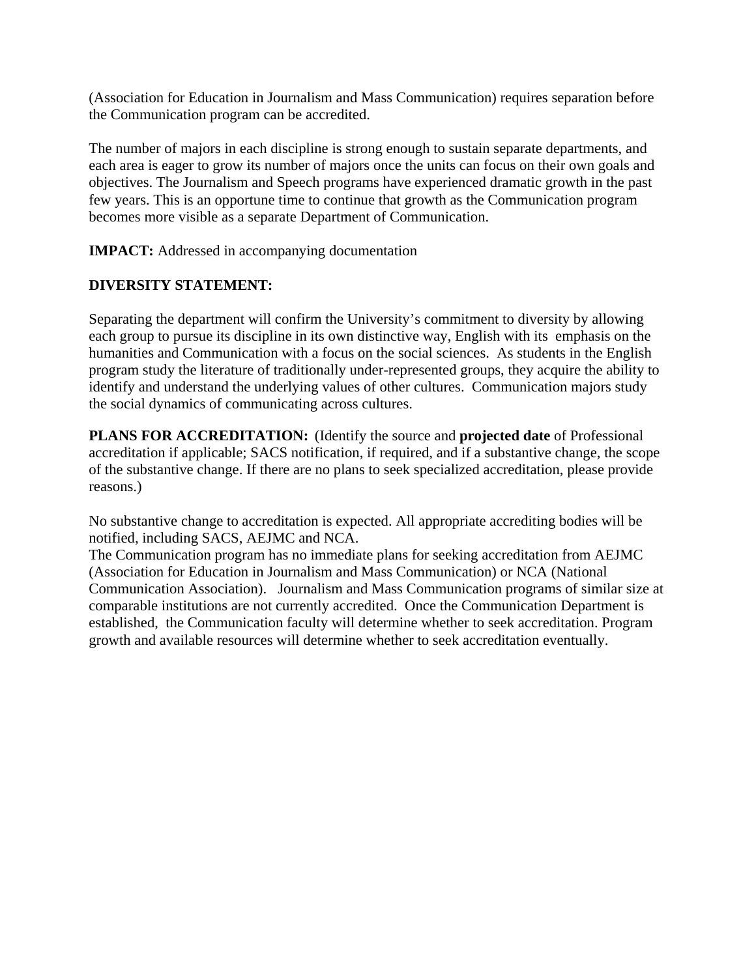(Association for Education in Journalism and Mass Communication) requires separation before the Communication program can be accredited.

The number of majors in each discipline is strong enough to sustain separate departments, and each area is eager to grow its number of majors once the units can focus on their own goals and objectives. The Journalism and Speech programs have experienced dramatic growth in the past few years. This is an opportune time to continue that growth as the Communication program becomes more visible as a separate Department of Communication.

**IMPACT:** Addressed in accompanying documentation

## **DIVERSITY STATEMENT:**

Separating the department will confirm the University's commitment to diversity by allowing each group to pursue its discipline in its own distinctive way, English with its emphasis on the humanities and Communication with a focus on the social sciences. As students in the English program study the literature of traditionally under-represented groups, they acquire the ability to identify and understand the underlying values of other cultures. Communication majors study the social dynamics of communicating across cultures.

**PLANS FOR ACCREDITATION:** (Identify the source and **projected date** of Professional accreditation if applicable; SACS notification, if required, and if a substantive change, the scope of the substantive change. If there are no plans to seek specialized accreditation, please provide reasons.)

No substantive change to accreditation is expected. All appropriate accrediting bodies will be notified, including SACS, AEJMC and NCA.

The Communication program has no immediate plans for seeking accreditation from AEJMC (Association for Education in Journalism and Mass Communication) or NCA (National Communication Association). Journalism and Mass Communication programs of similar size at comparable institutions are not currently accredited. Once the Communication Department is established, the Communication faculty will determine whether to seek accreditation. Program growth and available resources will determine whether to seek accreditation eventually.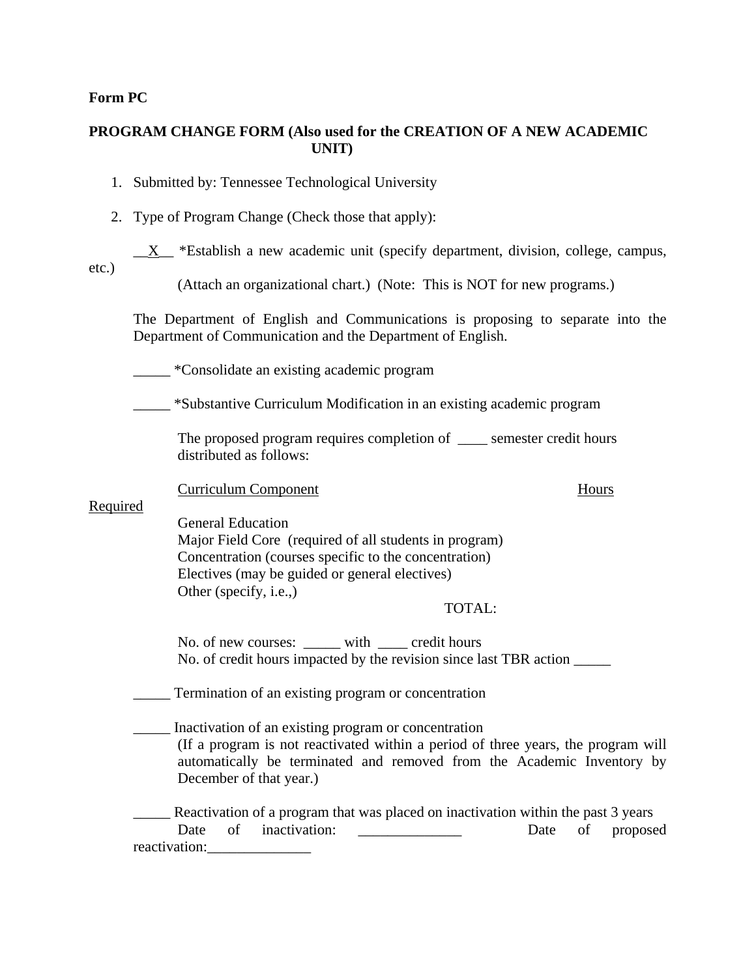## **Form PC**

## **PROGRAM CHANGE FORM (Also used for the CREATION OF A NEW ACADEMIC UNIT)**

|  | 1. Submitted by: Tennessee Technological University |  |  |  |
|--|-----------------------------------------------------|--|--|--|
|--|-----------------------------------------------------|--|--|--|

- 2. Type of Program Change (Check those that apply):
- $X$  \*Establish a new academic unit (specify department, division, college, campus, etc.)

(Attach an organizational chart.) (Note: This is NOT for new programs.)

The Department of English and Communications is proposing to separate into the Department of Communication and the Department of English.

\_\_\_\_\_ \*Consolidate an existing academic program

\_\_\_\_\_ \*Substantive Curriculum Modification in an existing academic program

The proposed program requires completion of \_\_\_\_ semester credit hours distributed as follows:

Curriculum Component Hours

Required

General Education Major Field Core (required of all students in program) Concentration (courses specific to the concentration) Electives (may be guided or general electives) Other (specify, i.e.,)

TOTAL:

No. of new courses: with credit hours No. of credit hours impacted by the revision since last TBR action \_\_\_\_\_

\_\_\_\_\_ Termination of an existing program or concentration

Inactivation of an existing program or concentration (If a program is not reactivated within a period of three years, the program will automatically be terminated and removed from the Academic Inventory by December of that year.)

Reactivation of a program that was placed on inactivation within the past 3 years Date of inactivation: Date of proposed reactivation: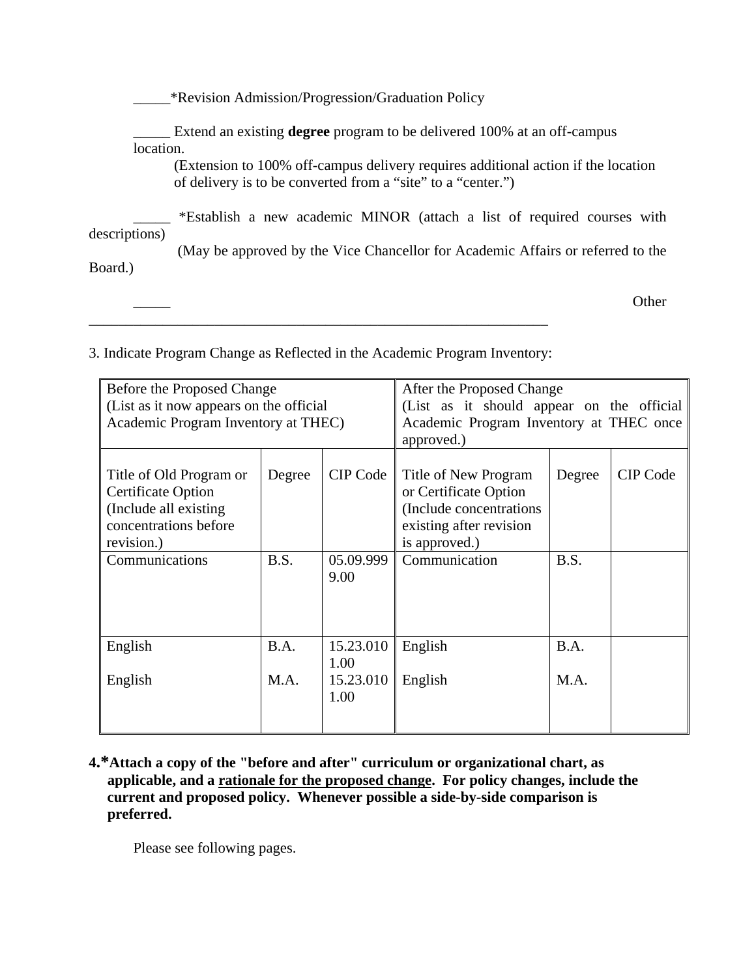|               | *Revision Admission/Progression/Graduation Policy                                                                                                 |
|---------------|---------------------------------------------------------------------------------------------------------------------------------------------------|
|               | Extend an existing <b>degree</b> program to be delivered 100% at an off-campus                                                                    |
| location.     |                                                                                                                                                   |
|               | (Extension to 100% off-campus delivery requires additional action if the location<br>of delivery is to be converted from a "site" to a "center.") |
| descriptions) | *Establish a new academic MINOR (attach a list of required courses with                                                                           |
| Board.)       | (May be approved by the Vice Chancellor for Academic Affairs or referred to the                                                                   |
|               | Other                                                                                                                                             |

3. Indicate Program Change as Reflected in the Academic Program Inventory:

| Before the Proposed Change<br>(List as it now appears on the official<br>Academic Program Inventory at THEC)          |        |                   | After the Proposed Change<br>(List as it should appear on the official<br>Academic Program Inventory at THEC once<br>approved.) |        |                 |
|-----------------------------------------------------------------------------------------------------------------------|--------|-------------------|---------------------------------------------------------------------------------------------------------------------------------|--------|-----------------|
| Title of Old Program or<br><b>Certificate Option</b><br>(Include all existing)<br>concentrations before<br>revision.) | Degree | CIP Code          | Title of New Program<br>or Certificate Option<br>(Include concentrations<br>existing after revision<br>is approved.)            | Degree | <b>CIP</b> Code |
| Communications                                                                                                        | B.S.   | 05.09.999<br>9.00 | Communication                                                                                                                   | B.S.   |                 |
| English                                                                                                               | B.A.   | 15.23.010<br>1.00 | English                                                                                                                         | B.A.   |                 |
| English                                                                                                               | M.A.   | 15.23.010<br>1.00 | English                                                                                                                         | M.A.   |                 |

**4.\*Attach a copy of the "before and after" curriculum or organizational chart, as applicable, and a rationale for the proposed change. For policy changes, include the current and proposed policy. Whenever possible a side-by-side comparison is preferred.** 

Please see following pages.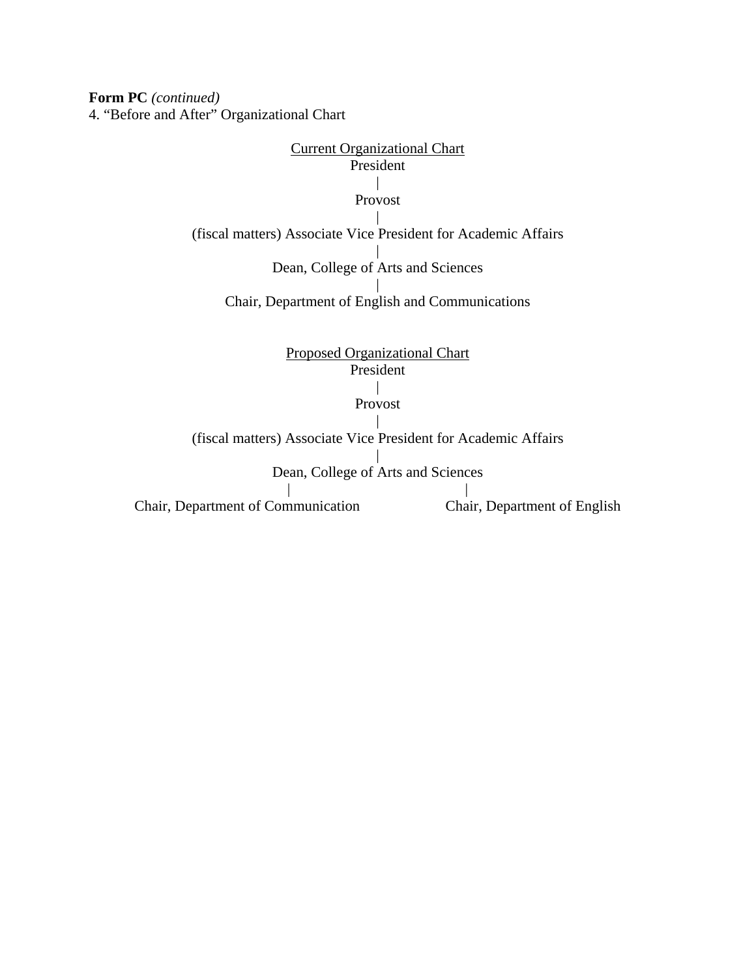**Form PC** *(continued)*  4. "Before and After" Organizational Chart

# Current Organizational Chart President | Provost | (fiscal matters) Associate Vice President for Academic Affairs | Dean, College of Arts and Sciences | Chair, Department of English and Communications Proposed Organizational Chart President | Provost |

(fiscal matters) Associate Vice President for Academic Affairs | Dean, College of Arts and Sciences | | Chair, Department of Communication Chair, Department of English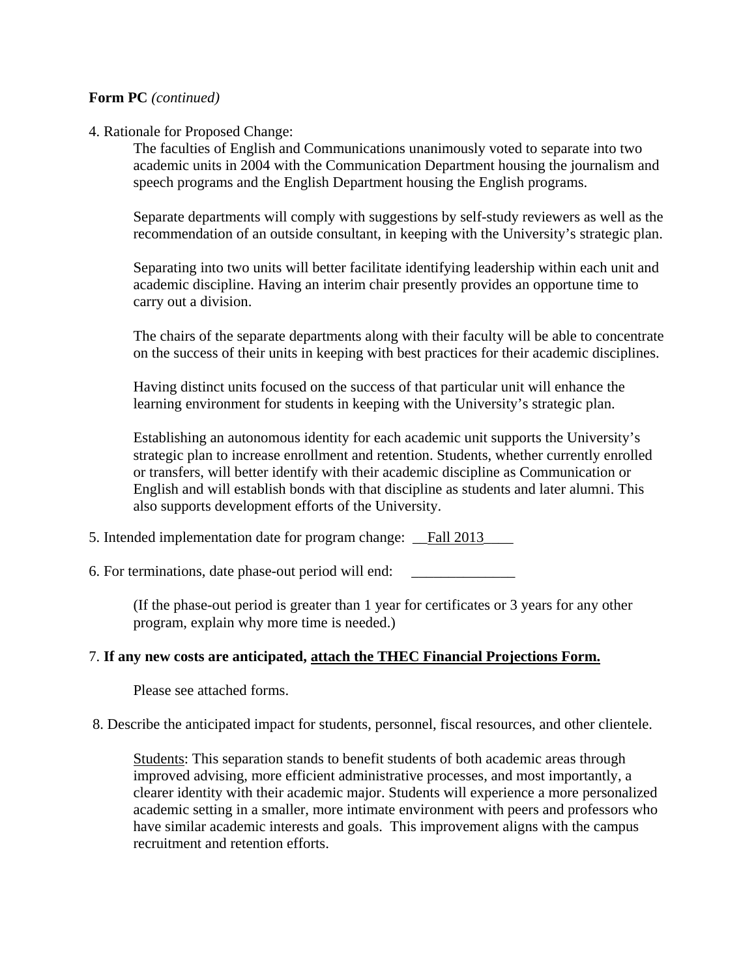## **Form PC** *(continued)*

#### 4. Rationale for Proposed Change:

The faculties of English and Communications unanimously voted to separate into two academic units in 2004 with the Communication Department housing the journalism and speech programs and the English Department housing the English programs.

Separate departments will comply with suggestions by self-study reviewers as well as the recommendation of an outside consultant, in keeping with the University's strategic plan.

Separating into two units will better facilitate identifying leadership within each unit and academic discipline. Having an interim chair presently provides an opportune time to carry out a division.

The chairs of the separate departments along with their faculty will be able to concentrate on the success of their units in keeping with best practices for their academic disciplines.

Having distinct units focused on the success of that particular unit will enhance the learning environment for students in keeping with the University's strategic plan.

Establishing an autonomous identity for each academic unit supports the University's strategic plan to increase enrollment and retention. Students, whether currently enrolled or transfers, will better identify with their academic discipline as Communication or English and will establish bonds with that discipline as students and later alumni. This also supports development efforts of the University.

5. Intended implementation date for program change: Fall 2013

6. For terminations, date phase-out period will end:

(If the phase-out period is greater than 1 year for certificates or 3 years for any other program, explain why more time is needed.)

## 7. **If any new costs are anticipated, attach the THEC Financial Projections Form.**

Please see attached forms.

#### 8. Describe the anticipated impact for students, personnel, fiscal resources, and other clientele.

Students: This separation stands to benefit students of both academic areas through improved advising, more efficient administrative processes, and most importantly, a clearer identity with their academic major. Students will experience a more personalized academic setting in a smaller, more intimate environment with peers and professors who have similar academic interests and goals. This improvement aligns with the campus recruitment and retention efforts.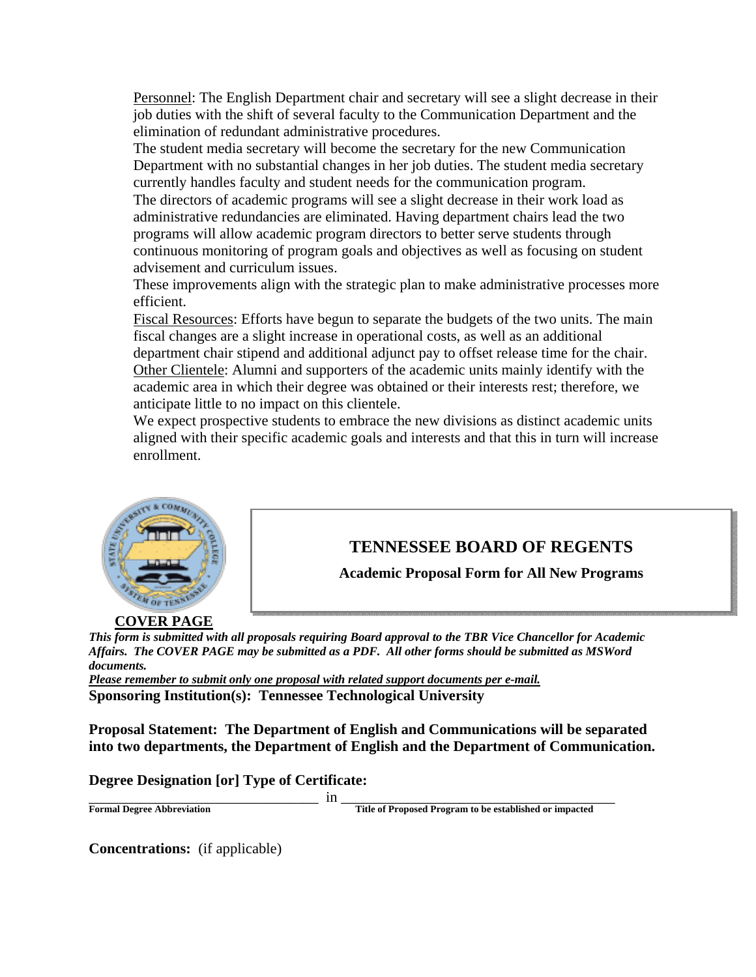Personnel: The English Department chair and secretary will see a slight decrease in their job duties with the shift of several faculty to the Communication Department and the elimination of redundant administrative procedures.

The student media secretary will become the secretary for the new Communication Department with no substantial changes in her job duties. The student media secretary currently handles faculty and student needs for the communication program.

The directors of academic programs will see a slight decrease in their work load as administrative redundancies are eliminated. Having department chairs lead the two programs will allow academic program directors to better serve students through continuous monitoring of program goals and objectives as well as focusing on student advisement and curriculum issues.

These improvements align with the strategic plan to make administrative processes more efficient.

Fiscal Resources: Efforts have begun to separate the budgets of the two units. The main fiscal changes are a slight increase in operational costs, as well as an additional department chair stipend and additional adjunct pay to offset release time for the chair. Other Clientele: Alumni and supporters of the academic units mainly identify with the academic area in which their degree was obtained or their interests rest; therefore, we anticipate little to no impact on this clientele.

We expect prospective students to embrace the new divisions as distinct academic units aligned with their specific academic goals and interests and that this in turn will increase enrollment.



# **TENNESSEE BOARD OF REGENTS**

**Academic Proposal Form for All New Programs** 

**COVER PAGE**

*This form is submitted with all proposals requiring Board approval to the TBR Vice Chancellor for Academic Affairs. The COVER PAGE may be submitted as a PDF. All other forms should be submitted as MSWord documents.* 

*Please remember to submit only one proposal with related support documents per e-mail.* **Sponsoring Institution(s): Tennessee Technological University** 

**Proposal Statement: The Department of English and Communications will be separated into two departments, the Department of English and the Department of Communication.** 

## **Degree Designation [or] Type of Certificate:**

\_\_\_\_\_\_\_\_\_\_\_\_\_\_\_\_\_\_\_\_\_\_\_\_\_\_\_\_\_\_\_ in \_\_\_\_\_\_\_\_\_\_\_\_\_\_\_\_\_\_\_\_\_\_\_\_\_\_\_\_\_\_\_\_\_\_\_\_\_ **Formal Degree Abbreviation Title of Proposed Program to be established or impacted** 

**Concentrations:** (if applicable)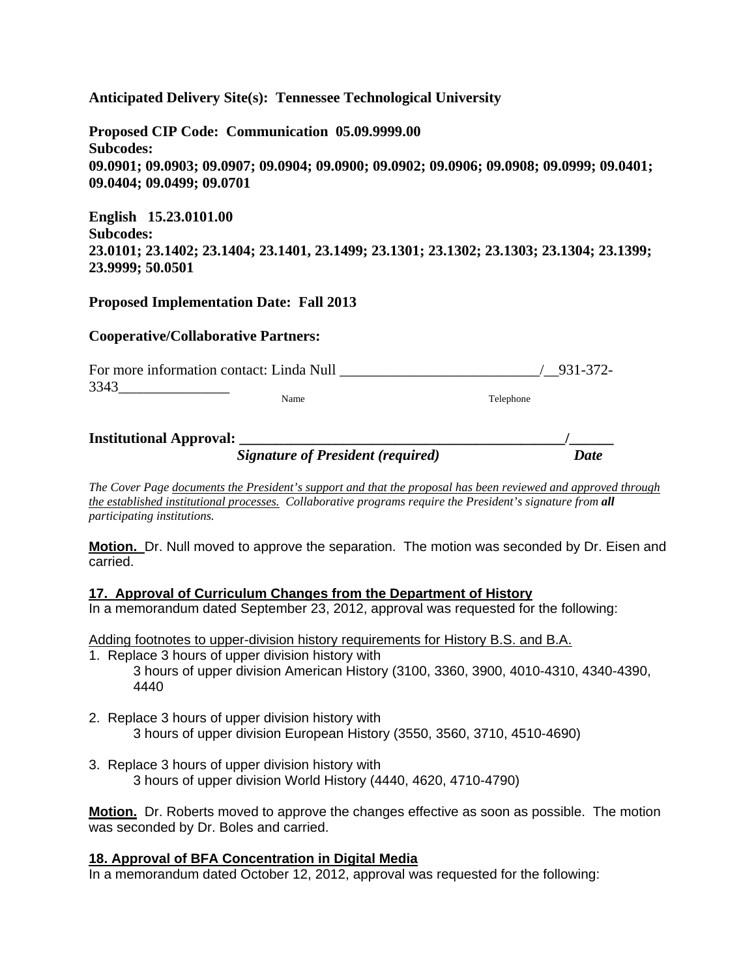**Anticipated Delivery Site(s): Tennessee Technological University** 

**Proposed CIP Code: Communication 05.09.9999.00 Subcodes: 09.0901; 09.0903; 09.0907; 09.0904; 09.0900; 09.0902; 09.0906; 09.0908; 09.0999; 09.0401; 09.0404; 09.0499; 09.0701** 

**English 15.23.0101.00 Subcodes: 23.0101; 23.1402; 23.1404; 23.1401, 23.1499; 23.1301; 23.1302; 23.1303; 23.1304; 23.1399; 23.9999; 50.0501** 

#### **Proposed Implementation Date: Fall 2013**

#### **Cooperative/Collaborative Partners:**

| For more information contact: Linda Null |      | 931-372-  |
|------------------------------------------|------|-----------|
| 3343                                     |      |           |
|                                          | Name | Telephone |
|                                          |      |           |

| <b>Institutional Approval:</b> |                                          |             |
|--------------------------------|------------------------------------------|-------------|
|                                | <b>Signature of President (required)</b> | <b>Date</b> |

*The Cover Page documents the President's support and that the proposal has been reviewed and approved through the established institutional processes. Collaborative programs require the President's signature from all participating institutions.*

**Motion.** Dr. Null moved to approve the separation. The motion was seconded by Dr. Eisen and carried.

#### **17. Approval of Curriculum Changes from the Department of History**

In a memorandum dated September 23, 2012, approval was requested for the following:

Adding footnotes to upper-division history requirements for History B.S. and B.A.

- 1. Replace 3 hours of upper division history with 3 hours of upper division American History (3100, 3360, 3900, 4010-4310, 4340-4390, 4440
- 2. Replace 3 hours of upper division history with 3 hours of upper division European History (3550, 3560, 3710, 4510-4690)
- 3. Replace 3 hours of upper division history with 3 hours of upper division World History (4440, 4620, 4710-4790)

**Motion.** Dr. Roberts moved to approve the changes effective as soon as possible. The motion was seconded by Dr. Boles and carried.

## **18. Approval of BFA Concentration in Digital Media**

In a memorandum dated October 12, 2012, approval was requested for the following: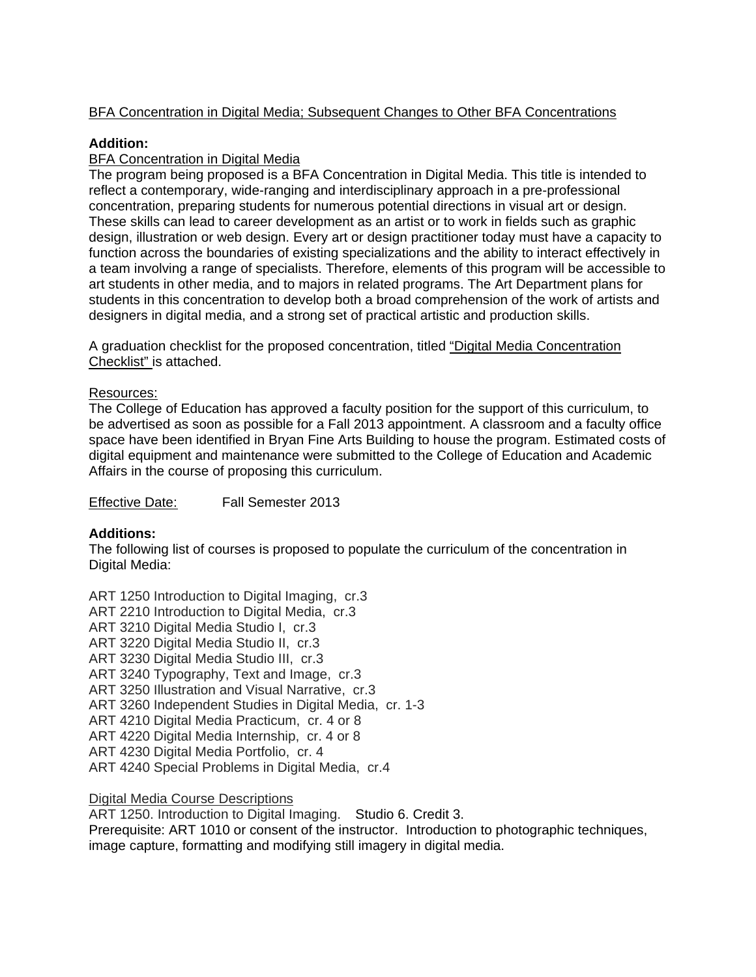## BFA Concentration in Digital Media; Subsequent Changes to Other BFA Concentrations

## **Addition:**

## BFA Concentration in Digital Media

The program being proposed is a BFA Concentration in Digital Media. This title is intended to reflect a contemporary, wide-ranging and interdisciplinary approach in a pre-professional concentration, preparing students for numerous potential directions in visual art or design. These skills can lead to career development as an artist or to work in fields such as graphic design, illustration or web design. Every art or design practitioner today must have a capacity to function across the boundaries of existing specializations and the ability to interact effectively in a team involving a range of specialists. Therefore, elements of this program will be accessible to art students in other media, and to majors in related programs. The Art Department plans for students in this concentration to develop both a broad comprehension of the work of artists and designers in digital media, and a strong set of practical artistic and production skills.

A graduation checklist for the proposed concentration, titled "Digital Media Concentration Checklist" is attached.

#### Resources:

The College of Education has approved a faculty position for the support of this curriculum, to be advertised as soon as possible for a Fall 2013 appointment. A classroom and a faculty office space have been identified in Bryan Fine Arts Building to house the program. Estimated costs of digital equipment and maintenance were submitted to the College of Education and Academic Affairs in the course of proposing this curriculum.

Effective Date: Fall Semester 2013

## **Additions:**

The following list of courses is proposed to populate the curriculum of the concentration in Digital Media:

ART 1250 Introduction to Digital Imaging, cr.3 ART 2210 Introduction to Digital Media, cr.3 ART 3210 Digital Media Studio I, cr.3 ART 3220 Digital Media Studio II, cr.3 ART 3230 Digital Media Studio III, cr.3 ART 3240 Typography, Text and Image, cr.3 ART 3250 Illustration and Visual Narrative, cr.3 ART 3260 Independent Studies in Digital Media, cr. 1-3 ART 4210 Digital Media Practicum, cr. 4 or 8 ART 4220 Digital Media Internship, cr. 4 or 8 ART 4230 Digital Media Portfolio, cr. 4 ART 4240 Special Problems in Digital Media, cr.4

Digital Media Course Descriptions

ART 1250. Introduction to Digital Imaging. Studio 6. Credit 3.

Prerequisite: ART 1010 or consent of the instructor. Introduction to photographic techniques, image capture, formatting and modifying still imagery in digital media.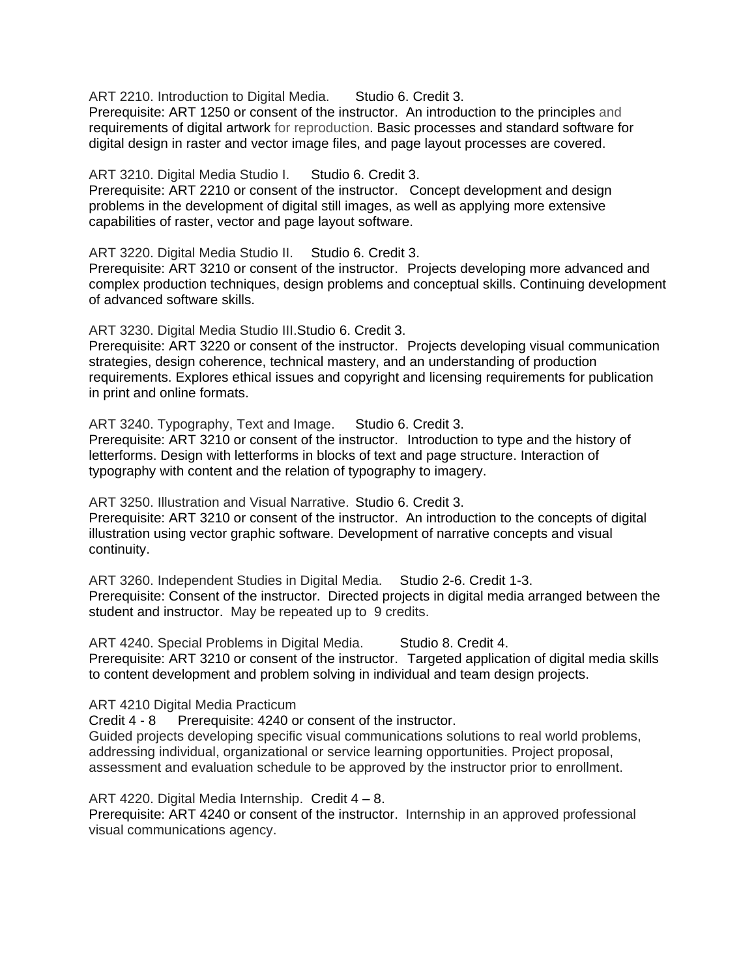ART 2210. Introduction to Digital Media. Studio 6. Credit 3.

Prerequisite: ART 1250 or consent of the instructor. An introduction to the principles and requirements of digital artwork for reproduction. Basic processes and standard software for digital design in raster and vector image files, and page layout processes are covered.

ART 3210. Digital Media Studio I. Studio 6. Credit 3.

Prerequisite: ART 2210 or consent of the instructor. Concept development and design problems in the development of digital still images, as well as applying more extensive capabilities of raster, vector and page layout software.

ART 3220. Digital Media Studio II. Studio 6. Credit 3.

Prerequisite: ART 3210 or consent of the instructor. Projects developing more advanced and complex production techniques, design problems and conceptual skills. Continuing development of advanced software skills.

ART 3230. Digital Media Studio III.Studio 6. Credit 3.

Prerequisite: ART 3220 or consent of the instructor. Projects developing visual communication strategies, design coherence, technical mastery, and an understanding of production requirements. Explores ethical issues and copyright and licensing requirements for publication in print and online formats.

ART 3240. Typography, Text and Image. Studio 6. Credit 3. Prerequisite: ART 3210 or consent of the instructor. Introduction to type and the history of letterforms. Design with letterforms in blocks of text and page structure. Interaction of typography with content and the relation of typography to imagery.

ART 3250. Illustration and Visual Narrative. Studio 6. Credit 3.

Prerequisite: ART 3210 or consent of the instructor. An introduction to the concepts of digital illustration using vector graphic software. Development of narrative concepts and visual continuity.

ART 3260. Independent Studies in Digital Media. Studio 2-6. Credit 1-3. Prerequisite: Consent of the instructor. Directed projects in digital media arranged between the student and instructor. May be repeated up to 9 credits.

ART 4240. Special Problems in Digital Media. Studio 8. Credit 4. Prerequisite: ART 3210 or consent of the instructor. Targeted application of digital media skills to content development and problem solving in individual and team design projects.

ART 4210 Digital Media Practicum

Credit 4 - 8 Prerequisite: 4240 or consent of the instructor.

Guided projects developing specific visual communications solutions to real world problems, addressing individual, organizational or service learning opportunities. Project proposal, assessment and evaluation schedule to be approved by the instructor prior to enrollment.

ART 4220. Digital Media Internship. Credit 4 – 8.

Prerequisite: ART 4240 or consent of the instructor. Internship in an approved professional visual communications agency.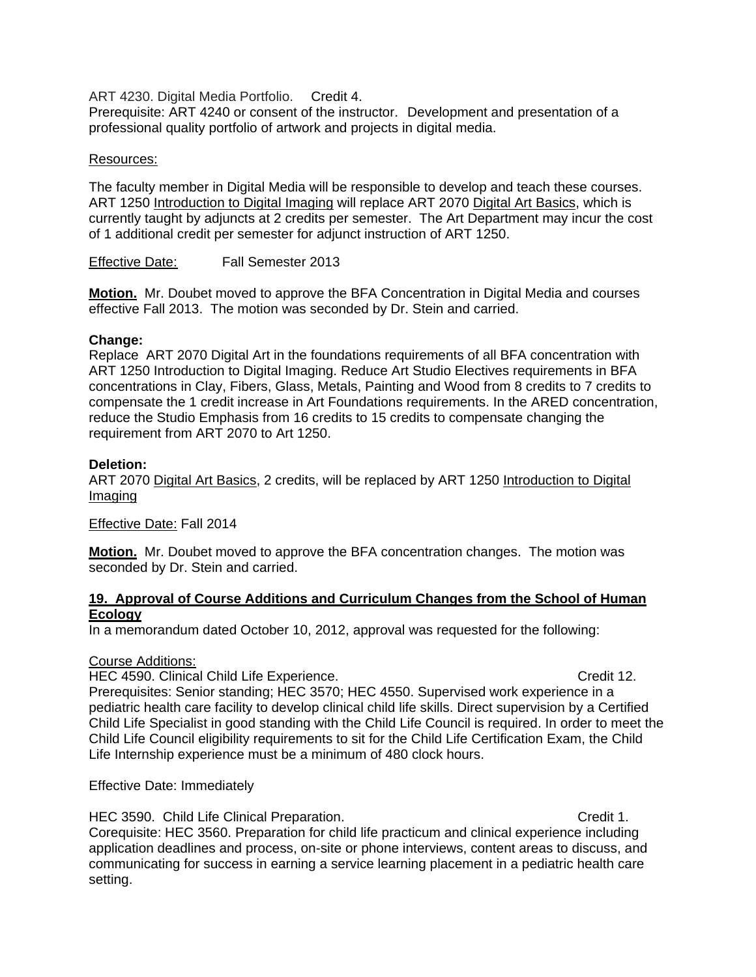ART 4230. Digital Media Portfolio. Credit 4.

Prerequisite: ART 4240 or consent of the instructor. Development and presentation of a professional quality portfolio of artwork and projects in digital media.

#### Resources:

The faculty member in Digital Media will be responsible to develop and teach these courses. ART 1250 Introduction to Digital Imaging will replace ART 2070 Digital Art Basics, which is currently taught by adjuncts at 2 credits per semester. The Art Department may incur the cost of 1 additional credit per semester for adjunct instruction of ART 1250.

Effective Date: Fall Semester 2013

**Motion.** Mr. Doubet moved to approve the BFA Concentration in Digital Media and courses effective Fall 2013. The motion was seconded by Dr. Stein and carried.

#### **Change:**

Replace ART 2070 Digital Art in the foundations requirements of all BFA concentration with ART 1250 Introduction to Digital Imaging. Reduce Art Studio Electives requirements in BFA concentrations in Clay, Fibers, Glass, Metals, Painting and Wood from 8 credits to 7 credits to compensate the 1 credit increase in Art Foundations requirements. In the ARED concentration, reduce the Studio Emphasis from 16 credits to 15 credits to compensate changing the requirement from ART 2070 to Art 1250.

#### **Deletion:**

ART 2070 Digital Art Basics, 2 credits, will be replaced by ART 1250 Introduction to Digital Imaging

Effective Date: Fall 2014

**Motion.** Mr. Doubet moved to approve the BFA concentration changes. The motion was seconded by Dr. Stein and carried.

#### **19. Approval of Course Additions and Curriculum Changes from the School of Human Ecology**

In a memorandum dated October 10, 2012, approval was requested for the following:

#### Course Additions:

HEC 4590. Clinical Child Life Experience. Credit 12.

Prerequisites: Senior standing; HEC 3570; HEC 4550. Supervised work experience in a pediatric health care facility to develop clinical child life skills. Direct supervision by a Certified Child Life Specialist in good standing with the Child Life Council is required. In order to meet the Child Life Council eligibility requirements to sit for the Child Life Certification Exam, the Child Life Internship experience must be a minimum of 480 clock hours.

Effective Date: Immediately

HEC 3590. Child Life Clinical Preparation. The contract of the Credit 1.

Corequisite: HEC 3560. Preparation for child life practicum and clinical experience including application deadlines and process, on-site or phone interviews, content areas to discuss, and communicating for success in earning a service learning placement in a pediatric health care setting.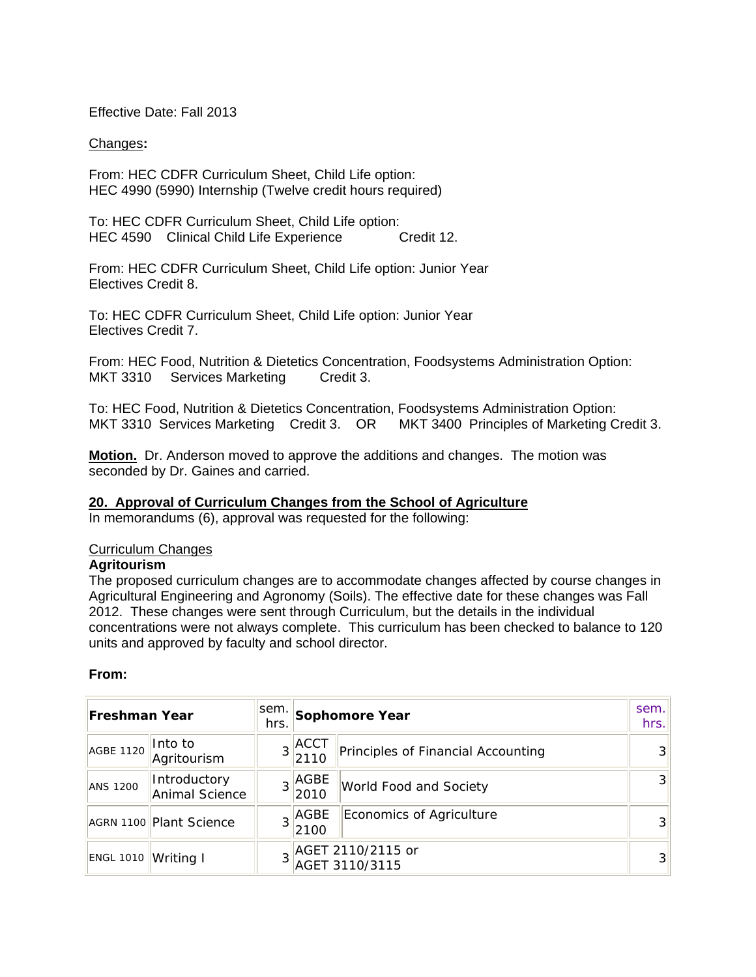Effective Date: Fall 2013

#### Changes**:**

From: HEC CDFR Curriculum Sheet, Child Life option: HEC 4990 (5990) Internship (Twelve credit hours required)

To: HEC CDFR Curriculum Sheet, Child Life option: HEC 4590 Clinical Child Life Experience Credit 12.

From: HEC CDFR Curriculum Sheet, Child Life option: Junior Year Electives Credit 8.

To: HEC CDFR Curriculum Sheet, Child Life option: Junior Year Electives Credit 7.

From: HEC Food, Nutrition & Dietetics Concentration, Foodsystems Administration Option: MKT 3310 Services Marketing Credit 3.

To: HEC Food, Nutrition & Dietetics Concentration, Foodsystems Administration Option: MKT 3310 Services Marketing Credit 3. OR MKT 3400 Principles of Marketing Credit 3.

**Motion.** Dr. Anderson moved to approve the additions and changes. The motion was seconded by Dr. Gaines and carried.

#### **20. Approval of Curriculum Changes from the School of Agriculture**

In memorandums (6), approval was requested for the following:

#### Curriculum Changes

## **Agritourism**

The proposed curriculum changes are to accommodate changes affected by course changes in Agricultural Engineering and Agronomy (Soils). The effective date for these changes was Fall 2012. These changes were sent through Curriculum, but the details in the individual concentrations were not always complete. This curriculum has been checked to balance to 120 units and approved by faculty and school director.

#### **From:**

| Freshman Year    |                                | sem.<br>hrs. | Sophomore Year               |                                     | sem.<br>hrs.   |
|------------------|--------------------------------|--------------|------------------------------|-------------------------------------|----------------|
| AGBE 1120        | Into to<br>Agritourism         |              | $3$ <sup>ACCT</sup><br> 2110 | Principles of Financial Accounting  | 3 <sup>l</sup> |
| <b>ANS 1200</b>  | Introductory<br>Animal Science |              | AGBE<br>2010                 | World Food and Society              | 3 <sup>l</sup> |
|                  | AGRN 1100 Plant Science        |              | $\frac{1}{2}$ AGBE<br>2100   | Economics of Agriculture            | 3 <sup>1</sup> |
| <b>ENGL 1010</b> | Writing I                      |              |                              | AGET 2110/2115 or<br>AGET 3110/3115 | 3 <sup>l</sup> |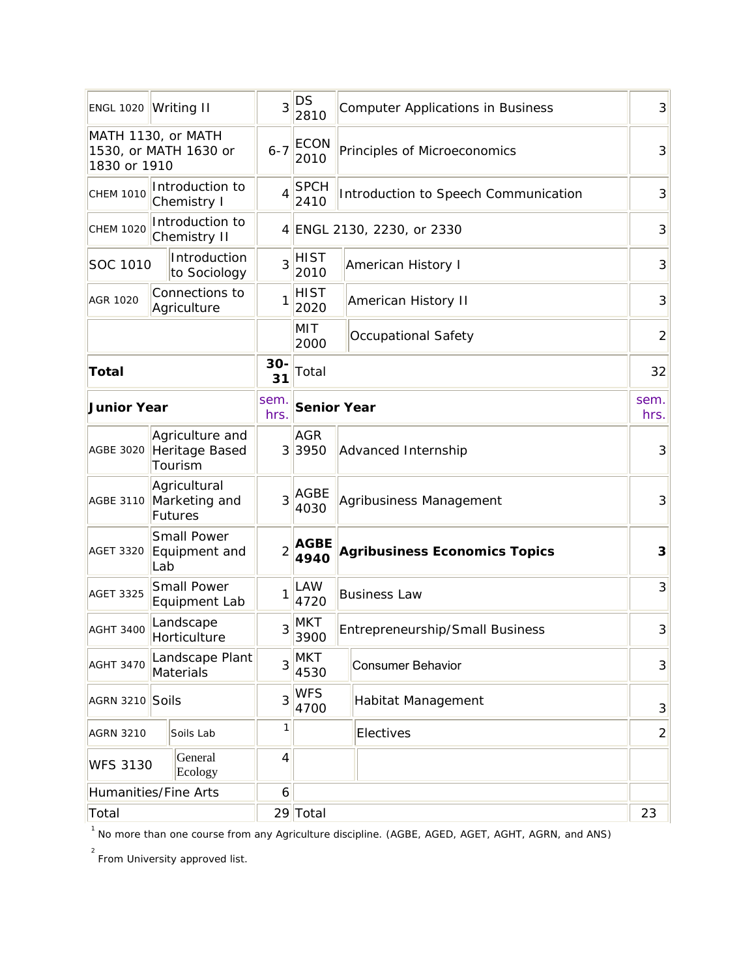|                                                             | ENGL 1020 Writing II                            | 3              | DS<br>2810          | <b>Computer Applications in Business</b> | $\overline{3}$ |
|-------------------------------------------------------------|-------------------------------------------------|----------------|---------------------|------------------------------------------|----------------|
| MATH 1130, or MATH<br>1530, or MATH 1630 or<br>1830 or 1910 |                                                 | $6 - 7$        | <b>ECON</b><br>2010 | Principles of Microeconomics             | 3              |
| <b>CHEM 1010</b>                                            | Introduction to<br>Chemistry I                  | 4              | <b>SPCH</b><br>2410 | Introduction to Speech Communication     | 3              |
| <b>CHEM 1020</b>                                            | Introduction to<br>Chemistry II                 |                |                     | 4 ENGL 2130, 2230, or 2330               | 3              |
| SOC 1010                                                    | Introduction<br>to Sociology                    | 3              | HIST<br>2010        | <b>American History I</b>                | 3              |
| <b>AGR 1020</b>                                             | Connections to<br>Agriculture                   | 1              | HIST<br>2020        | <b>American History II</b>               | 3              |
|                                                             |                                                 |                | MIT<br>2000         | <b>Occupational Safety</b>               | $\overline{2}$ |
| <b>Total</b>                                                |                                                 | 30-<br>31      | Total               |                                          | 32             |
| <b>Junior Year</b>                                          |                                                 | sem.<br>hrs.   | <b>Senior Year</b>  |                                          | sem.<br>hrs.   |
| <b>AGBE 3020</b>                                            | Agriculture and<br>Heritage Based<br>Tourism    |                | <b>AGR</b><br>33950 | Advanced Internship                      | 3              |
| <b>AGBE 3110</b>                                            | Agricultural<br>Marketing and<br><b>Futures</b> | 3              | <b>AGBE</b><br>4030 | Agribusiness Management                  | 3              |
| <b>AGET 3320</b>                                            | <b>Small Power</b><br>Equipment and<br>Lab      | $\overline{2}$ | <b>AGBE</b><br>4940 | <b>Agribusiness Economics Topics</b>     | 3              |
| <b>AGET 3325</b>                                            | <b>Small Power</b><br>Equipment Lab             | 1              | LAW<br>4720         | <b>Business Law</b>                      | 3              |
| <b>AGHT 3400</b>                                            | Landscape<br>Horticulture                       | 3              | MKT<br>3900         | <b>Entrepreneurship/Small Business</b>   | 3              |
| <b>AGHT 3470</b>                                            | Landscape Plant<br>Materials                    | 3              | <b>MKT</b><br>4530  | <b>Consumer Behavior</b>                 | $\overline{3}$ |
| AGRN 3210 Soils                                             |                                                 | 3              | <b>WFS</b><br>4700  | Habitat Management                       |                |
| <b>AGRN 3210</b>                                            | Soils Lab                                       | 1              |                     | Electives                                | $\overline{2}$ |
| <b>WFS 3130</b>                                             | General<br>Ecology                              | 4              |                     |                                          |                |
|                                                             | Humanities/Fine Arts                            | 6              |                     |                                          |                |
| Total                                                       |                                                 |                | 29 Total            |                                          | 23             |

<sup>1</sup> No more than one course from any Agriculture discipline. (AGBE, AGED, AGET, AGHT, AGRN, and ANS)

<sup>2</sup><br>From University approved list.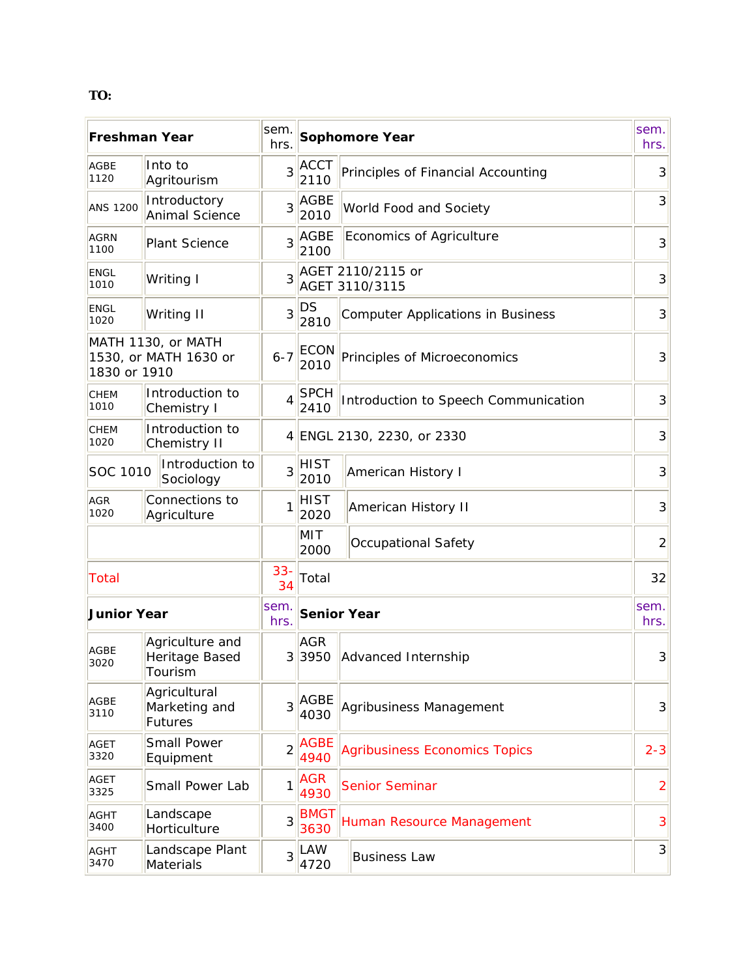## **TO:**

| <b>Freshman Year</b> |                                              | sem.<br>hrs.    |                      | <b>Sophomore Year</b>                    | sem.<br>hrs.   |
|----------------------|----------------------------------------------|-----------------|----------------------|------------------------------------------|----------------|
| <b>AGBE</b><br>1120  | Into to<br>Agritourism                       | $\overline{3}$  | <b>ACCT</b><br>2110  | Principles of Financial Accounting       | 3              |
| <b>ANS 1200</b>      | Introductory<br><b>Animal Science</b>        | $\overline{3}$  | AGBE<br>2010         | World Food and Society                   | 3              |
| <b>AGRN</b><br>1100  | <b>Plant Science</b>                         | 3 <sup>1</sup>  | AGBE<br>2100         | Economics of Agriculture                 | 3              |
| <b>ENGL</b><br>1010  | Writing I                                    | 3               |                      | AGET 2110/2115 or<br>AGET 3110/3115      | 3              |
| <b>ENGL</b><br>1020  | Writing II                                   | $\overline{3}$  | DS<br>2810           | <b>Computer Applications in Business</b> | 3              |
| 1830 or 1910         | MATH 1130, or MATH<br>1530, or MATH 1630 or  | $6 - 7$         | <b>ECON</b><br>2010  | Principles of Microeconomics             | 3              |
| CHEM<br>1010         | Introduction to<br>Chemistry I               | $\vert 4 \vert$ | <b>SPCH</b><br>2410  | Introduction to Speech Communication     | $\overline{3}$ |
| <b>CHEM</b><br>1020  | Introduction to<br>Chemistry II              |                 |                      | 4 ENGL 2130, 2230, or 2330               | 3              |
| SOC 1010             | Introduction to<br>Sociology                 | $\overline{3}$  | <b>HIST</b><br>2010  | American History I                       | 3              |
| <b>AGR</b><br>1020   | Connections to<br>Agriculture                | 1               | <b>HIST</b><br>2020  | <b>American History II</b>               | 3              |
|                      |                                              |                 | MIT<br>2000          | Occupational Safety                      | $\overline{2}$ |
| <b>Total</b>         |                                              | $33-$<br>34     | Total                |                                          | 32             |
| <b>Junior Year</b>   |                                              | sem.<br>hrs.    |                      | <b>Senior Year</b>                       | sem.<br>hrs.   |
| AGBE<br>3020         | Agriculture and<br>Heritage Based<br>Tourism |                 | <b>AGR</b><br>3 3950 | Advanced Internship                      | 3              |
| <b>AGBE</b><br>3110  | Agricultural<br>Marketing and<br>Futures     | $\overline{3}$  | <b>AGBE</b><br>4030  | Agribusiness Management                  | $\overline{3}$ |
| <b>AGET</b><br>3320  | Small Power<br>Equipment                     | $\overline{2}$  | <b>AGBE</b><br>4940  | <b>Agribusiness Economics Topics</b>     | $2 - 3$        |
| <b>AGET</b><br>3325  | Small Power Lab                              | 1               | <b>AGR</b><br>4930   | <b>Senior Seminar</b>                    | $\overline{2}$ |
| <b>AGHT</b><br>3400  | Landscape<br>Horticulture                    | $\overline{3}$  | <b>BMGT</b><br>3630  | Human Resource Management                | 3              |
| AGHT<br>3470         | Landscape Plant<br>Materials                 | $\overline{3}$  | LAW<br>4720          | <b>Business Law</b>                      | $\overline{3}$ |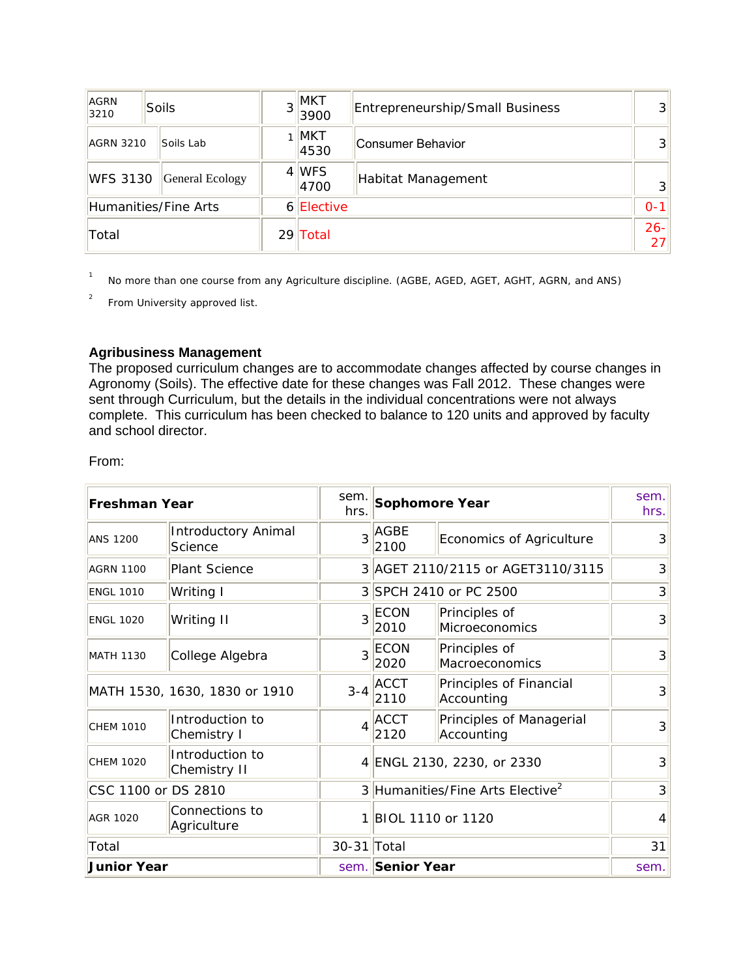| AGRN<br>3210                              | <b>Soils</b>    | 3 <sup>1</sup> | <b>MKT</b><br>3900 | Entrepreneurship/Small Business | 3 <sup>l</sup> |
|-------------------------------------------|-----------------|----------------|--------------------|---------------------------------|----------------|
| <b>AGRN 3210</b>                          | Soils Lab       |                | $1$ MKT<br>4530    | Consumer Behavior               | $\mathbf{3}$   |
| <b>WFS 3130</b>                           | General Ecology |                | 4 WFS<br>4700      | Habitat Management              | $\overline{3}$ |
| 6 <i>Elective</i><br>Humanities/Fine Arts |                 |                |                    | $0 - 1$                         |                |
| Total                                     |                 |                | 29 Total           |                                 | $26 -$<br>27   |

1 No more than one course from any Agriculture discipline. (AGBE, AGED, AGET, AGHT, AGRN, and ANS)

2 From University approved list.

#### **Agribusiness Management**

The proposed curriculum changes are to accommodate changes affected by course changes in Agronomy (Soils). The effective date for these changes was Fall 2012. These changes were sent through Curriculum, but the details in the individual concentrations were not always complete. This curriculum has been checked to balance to 120 units and approved by faculty and school director.

From:

| <b>Freshman Year</b>          |                                       | sem.<br>hrs.   |                     | Sophomore Year                               |                |
|-------------------------------|---------------------------------------|----------------|---------------------|----------------------------------------------|----------------|
| <b>ANS 1200</b>               | <b>Introductory Animal</b><br>Science | 3              | AGBE<br>2100        | Economics of Agriculture                     | 3              |
| <b>AGRN 1100</b>              | <b>Plant Science</b>                  |                |                     | 3 AGET 2110/2115 or AGET3110/3115            | 3              |
| <b>ENGL 1010</b>              | Writing I                             |                |                     | 3 SPCH 2410 or PC 2500                       | $\overline{3}$ |
| <b>ENGL 1020</b>              | Writing II                            | 3              | <b>ECON</b><br>2010 | Principles of<br>Microeconomics              | $\overline{3}$ |
| <b>MATH 1130</b>              | College Algebra                       | 3              | <b>ECON</b><br>2020 | Principles of<br>Macroeconomics              | $\overline{3}$ |
| MATH 1530, 1630, 1830 or 1910 |                                       | $3 - 4$        | <b>ACCT</b><br>2110 | Principles of Financial<br>Accounting        | $\overline{3}$ |
| <b>CHEM 1010</b>              | Introduction to<br>Chemistry I        | $\overline{4}$ | <b>ACCT</b><br>2120 | Principles of Managerial<br>Accounting       | $\overline{3}$ |
| <b>CHEM 1020</b>              | Introduction to<br>Chemistry II       |                |                     | 4 ENGL 2130, 2230, or 2330                   | $\overline{3}$ |
| CSC 1100 or DS 2810           |                                       |                |                     | 3 Humanities/Fine Arts Elective <sup>2</sup> | 3              |
| <b>AGR 1020</b>               | Connections to<br>Agriculture         | 1              | BIOL 1110 or 1120   |                                              | 4              |
| Total                         |                                       | 30-31 Total    |                     |                                              |                |
| <b>Junior Year</b>            |                                       |                |                     | sem. Senior Year                             |                |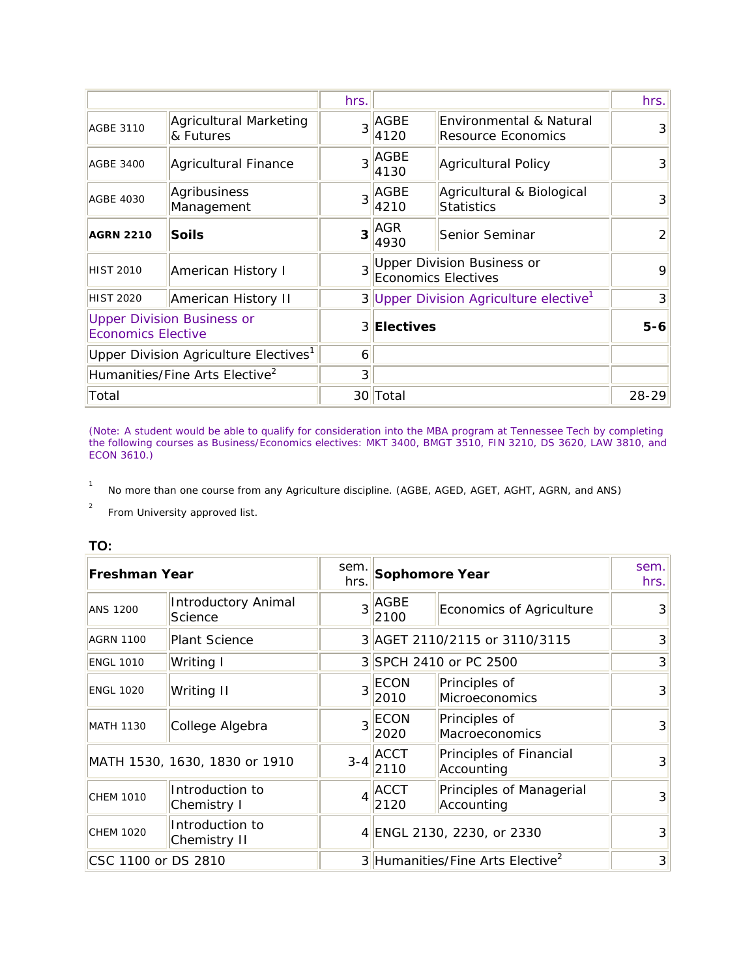|                                                                |                                            | hrs.           |                                                               |                                                          | hrs.          |
|----------------------------------------------------------------|--------------------------------------------|----------------|---------------------------------------------------------------|----------------------------------------------------------|---------------|
| <b>AGBE 3110</b>                                               | Agricultural Marketing<br>& Futures        |                | $3$ <sup>AGBE</sup><br>4120                                   | Environmental & Natural<br>Resource Economics            | $\mathcal{E}$ |
| <b>AGBE 3400</b>                                               | Agricultural Finance                       |                | $3$ <sup>AGBE</sup><br>4130                                   | Agricultural Policy                                      | 3             |
| <b>AGBE 4030</b>                                               | Agribusiness<br>Management                 |                | $3$ <sup>AGBE</sup><br>4210                                   | Agricultural & Biological<br>Statistics                  | 3             |
| <b>AGRN 2210</b>                                               | Soils                                      |                | $3$ <sup><math>\overline{\phantom{a}}</math>AGR</sup><br>4930 | Senior Seminar                                           | $\mathcal{P}$ |
| <b>HIST 2010</b>                                               | American History I                         | $\overline{3}$ |                                                               | Upper Division Business or<br><b>Economics Electives</b> |               |
| <b>HIST 2020</b>                                               | American History II                        |                |                                                               | 3 Upper Division Agriculture elective <sup>1</sup>       | 3             |
| <b>Upper Division Business or</b><br><b>Economics Elective</b> |                                            |                | 3 Electives                                                   |                                                          | $5-6$         |
|                                                                | Upper Division Agriculture Electives $^1$  | 6              |                                                               |                                                          |               |
|                                                                | Humanities/Fine Arts Elective <sup>2</sup> | 3              |                                                               |                                                          |               |
| Total                                                          |                                            |                | 30 Total                                                      |                                                          | $28 - 29$     |

(Note: A student would be able to qualify for consideration into the MBA program at Tennessee Tech by completing the following courses as Business/Economics electives: MKT 3400, BMGT 3510, FIN 3210, DS 3620, LAW 3810, and ECON 3610.)

1 No more than one course from any Agriculture discipline. (AGBE, AGED, AGET, AGHT, AGRN, and ANS)

2 From University approved list.

#### **TO:**

| <b>Freshman Year</b> |                                       | sem.<br>hrs. |                     | Sophomore Year                               |                   |
|----------------------|---------------------------------------|--------------|---------------------|----------------------------------------------|-------------------|
| <b>ANS 1200</b>      | <b>Introductory Animal</b><br>Science |              | $3$ $AGBE$<br>2100  | Economics of Agriculture                     | $\overline{3}$    |
| <b>AGRN 1100</b>     | <b>Plant Science</b>                  |              |                     | 3 AGET 2110/2115 or 3110/3115                | $\lvert 3 \rvert$ |
| <b>ENGL 1010</b>     | Writing I                             |              |                     | 3 SPCH 2410 or PC 2500                       | 3                 |
| <b>ENGL 1020</b>     | Writing II                            | 3            | ECON<br>2010        | Principles of<br>Microeconomics              | 3                 |
| <b>MATH 1130</b>     | College Algebra                       | 3            | ECON<br>2020        | Principles of<br>Macroeconomics              | $\overline{3}$    |
|                      | MATH 1530, 1630, 1830 or 1910         | $3 - 4$      | <b>ACCT</b><br>2110 | Principles of Financial<br>Accounting        | $\overline{3}$    |
| <b>CHEM 1010</b>     | Introduction to<br>Chemistry I        | 4            | ACCT<br>2120        | Principles of Managerial<br>Accounting       | $\overline{3}$    |
| <b>CHEM 1020</b>     | Introduction to<br>Chemistry II       |              |                     | 4 ENGL 2130, 2230, or 2330                   | $\overline{3}$    |
| CSC 1100 or DS 2810  |                                       |              |                     | 3 Humanities/Fine Arts Elective <sup>2</sup> | $\overline{3}$    |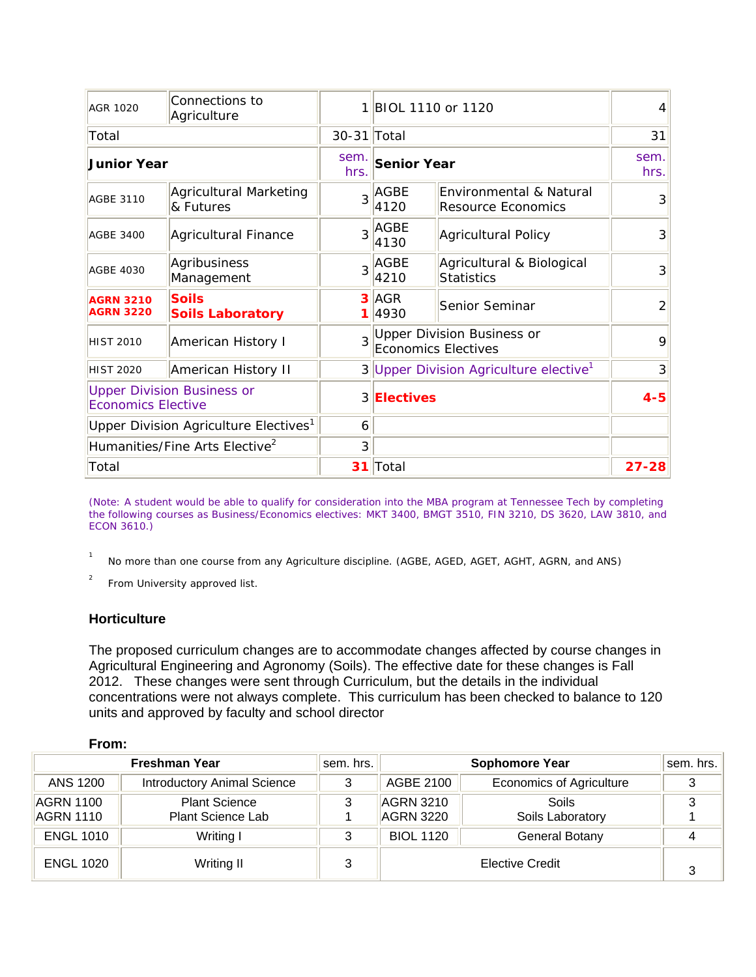| <b>AGR 1020</b>                                                | Connections to<br>Agriculture                     | 1            | <b>BIOL 1110 or 1120</b> |                                                            | 4            |
|----------------------------------------------------------------|---------------------------------------------------|--------------|--------------------------|------------------------------------------------------------|--------------|
| Total                                                          |                                                   | 30-31 Total  |                          |                                                            | 31           |
| <b>Junior Year</b>                                             |                                                   | sem.<br>hrs. | <b>Senior Year</b>       |                                                            | sem.<br>hrs. |
| <b>AGBE 3110</b>                                               | <b>Agricultural Marketing</b><br>& Futures        | 3            | AGBE<br>4120             | Environmental & Natural<br><b>Resource Economics</b>       | 3            |
| <b>AGBE 3400</b>                                               | Agricultural Finance                              | 3            | AGBE<br>4130             | Agricultural Policy                                        | 3            |
| <b>AGBE 4030</b>                                               | Agribusiness<br>Management                        | 3            | <b>AGBE</b><br>4210      | Agricultural & Biological<br>Statistics                    | 3            |
| <b>AGRN 3210</b><br><b>AGRN 3220</b>                           | <b>Soils</b><br><b>Soils Laboratory</b>           | 1            | $3$ AGR<br>4930          | Senior Seminar                                             | 2            |
| <b>HIST 2010</b>                                               | American History I                                |              |                          | 3 Upper Division Business or<br><b>Economics Electives</b> | $\mathsf o$  |
| <b>HIST 2020</b>                                               | American History II                               |              |                          | 3 Upper Division Agriculture elective <sup>1</sup>         | 3            |
| <b>Upper Division Business or</b><br><b>Economics Elective</b> |                                                   |              | 3 Electives              |                                                            | $4 - 5$      |
|                                                                | Upper Division Agriculture Electives <sup>1</sup> | 6            |                          |                                                            |              |
| Humanities/Fine Arts Elective <sup>2</sup>                     |                                                   | 3            |                          |                                                            |              |
| Total                                                          |                                                   | 31           | Total                    |                                                            | $27 - 28$    |

(Note: A student would be able to qualify for consideration into the MBA program at Tennessee Tech by completing the following courses as Business/Economics electives: MKT 3400, BMGT 3510, FIN 3210, DS 3620, LAW 3810, and ECON 3610.)

1 No more than one course from any Agriculture discipline. (AGBE, AGED, AGET, AGHT, AGRN, and ANS)

2 From University approved list.

## **Horticulture**

The proposed curriculum changes are to accommodate changes affected by course changes in Agricultural Engineering and Agronomy (Soils). The effective date for these changes is Fall 2012. These changes were sent through Curriculum, but the details in the individual concentrations were not always complete. This curriculum has been checked to balance to 120 units and approved by faculty and school director

#### **From:**

|                               | <b>Freshman Year</b>                      | sem. hrs. |                                 | <b>Sophomore Year</b>           | sem. hrs. |
|-------------------------------|-------------------------------------------|-----------|---------------------------------|---------------------------------|-----------|
| ANS 1200                      | <b>Introductory Animal Science</b>        | 3         | AGBE 2100                       | <b>Economics of Agriculture</b> |           |
| <b>AGRN 1100</b><br>AGRN 1110 | <b>Plant Science</b><br>Plant Science Lab | 3         | $AGRN$ 3210<br><b>AGRN 3220</b> | Soils<br>Soils Laboratory       |           |
| <b>ENGL 1010</b>              | Writing I                                 | 3         | <b>BIOL 1120</b>                | General Botany                  |           |
| <b>ENGL 1020</b>              | Writing II                                | 3         |                                 | Elective Credit                 | 3         |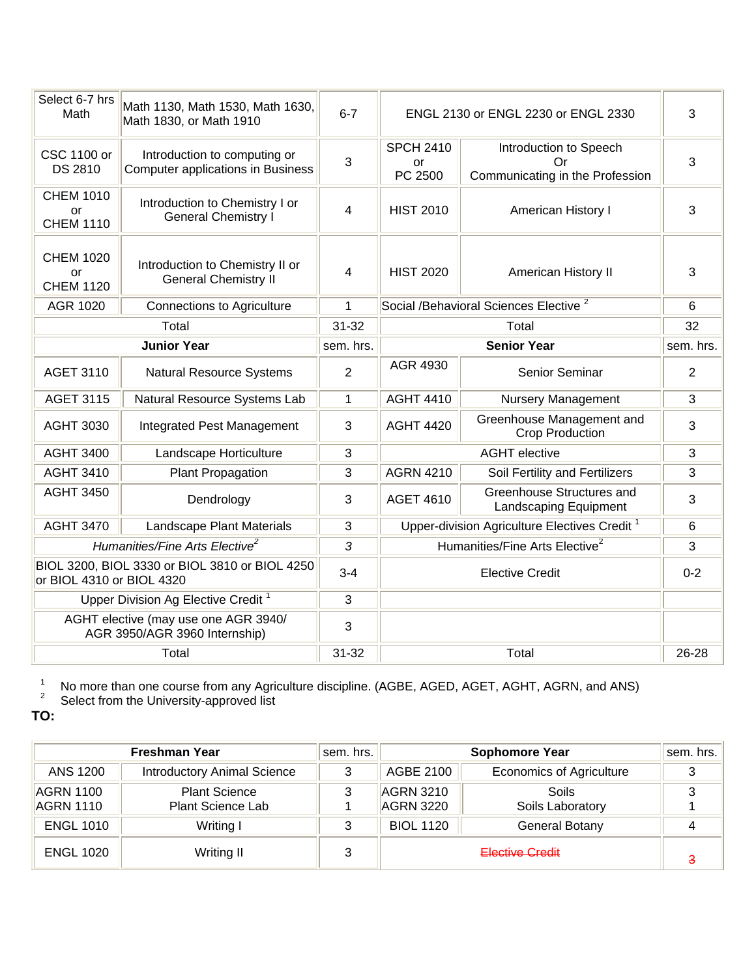| Select 6-7 hrs<br>Math                     | Math 1130, Math 1530, Math 1630,<br>Math 1830, or Math 1910              | $6 - 7$        |                                   | ENGL 2130 or ENGL 2230 or ENGL 2330                             | 3              |
|--------------------------------------------|--------------------------------------------------------------------------|----------------|-----------------------------------|-----------------------------------------------------------------|----------------|
| <b>CSC 1100 or</b><br>DS 2810              | Introduction to computing or<br><b>Computer applications in Business</b> | 3              | <b>SPCH 2410</b><br>or<br>PC 2500 | Introduction to Speech<br>Or<br>Communicating in the Profession | 3              |
| <b>CHEM 1010</b><br>or<br><b>CHEM 1110</b> | Introduction to Chemistry I or<br><b>General Chemistry I</b>             | 4              | <b>HIST 2010</b>                  | American History I                                              | 3              |
| <b>CHEM 1020</b><br>or<br><b>CHEM 1120</b> | Introduction to Chemistry II or<br><b>General Chemistry II</b>           | 4              | <b>HIST 2020</b>                  | American History II                                             | 3              |
| AGR 1020                                   | <b>Connections to Agriculture</b>                                        | 1              |                                   | Social /Behavioral Sciences Elective <sup>2</sup>               | 6              |
|                                            | Total<br>$31 - 32$                                                       |                | Total                             | 32                                                              |                |
|                                            | <b>Junior Year</b>                                                       | sem. hrs.      |                                   | <b>Senior Year</b>                                              |                |
| <b>AGET 3110</b>                           | <b>Natural Resource Systems</b>                                          | $\overline{2}$ | AGR 4930                          | Senior Seminar                                                  | $\overline{2}$ |
| <b>AGET 3115</b>                           | Natural Resource Systems Lab                                             | 1              | <b>AGHT 4410</b>                  | <b>Nursery Management</b>                                       | 3              |
| <b>AGHT 3030</b>                           | Integrated Pest Management                                               | 3              | <b>AGHT 4420</b>                  | Greenhouse Management and<br><b>Crop Production</b>             | 3              |
| <b>AGHT 3400</b>                           | Landscape Horticulture                                                   | 3              |                                   | <b>AGHT</b> elective                                            | 3              |
| <b>AGHT 3410</b>                           | Plant Propagation                                                        | 3              | <b>AGRN 4210</b>                  | Soil Fertility and Fertilizers                                  | 3              |
| <b>AGHT 3450</b>                           | Dendrology                                                               | 3              | <b>AGET 4610</b>                  | Greenhouse Structures and<br>Landscaping Equipment              | 3              |
| <b>AGHT 3470</b>                           | Landscape Plant Materials                                                | 3              |                                   | Upper-division Agriculture Electives Credit <sup>1</sup>        | 6              |
|                                            | Humanities/Fine Arts Elective <sup>2</sup>                               | 3              |                                   | Humanities/Fine Arts Elective <sup>2</sup>                      | 3              |
| or BIOL 4310 or BIOL 4320                  | BIOL 3200, BIOL 3330 or BIOL 3810 or BIOL 4250                           | $3 - 4$        | <b>Elective Credit</b>            |                                                                 | $0 - 2$        |
|                                            | Upper Division Ag Elective Credit <sup>1</sup>                           | 3              |                                   |                                                                 |                |
|                                            | AGHT elective (may use one AGR 3940/<br>AGR 3950/AGR 3960 Internship)    | 3              |                                   |                                                                 |                |
|                                            | Total                                                                    | $31 - 32$      |                                   | Total                                                           |                |

1  $^{\text{\tiny{\textsf{1}}}}$  No more than one course from any Agriculture discipline. (AGBE, AGED, AGET, AGHT, AGRN, and ANS)  $^{\text{\tiny{\textsf{2}}}}$  Select from the University-approved list

**TO:** 

| <b>Freshman Year</b>   |                                           | sem. hrs. |                               | <b>Sophomore Year</b>           | sem. hrs. |
|------------------------|-------------------------------------------|-----------|-------------------------------|---------------------------------|-----------|
| ANS 1200               | <b>Introductory Animal Science</b>        | 3         | AGBE 2100                     | <b>Economics of Agriculture</b> | 3         |
| AGRN 1100<br>AGRN 1110 | <b>Plant Science</b><br>Plant Science Lab |           | <b>AGRN 3210</b><br>AGRN 3220 | Soils<br>Soils Laboratory       |           |
| <b>ENGL 1010</b>       | Writing I                                 | 3         | <b>BIOL 1120</b>              | General Botany                  |           |
| <b>ENGL 1020</b>       | Writing II                                | 3         | Elective Credit               |                                 | з         |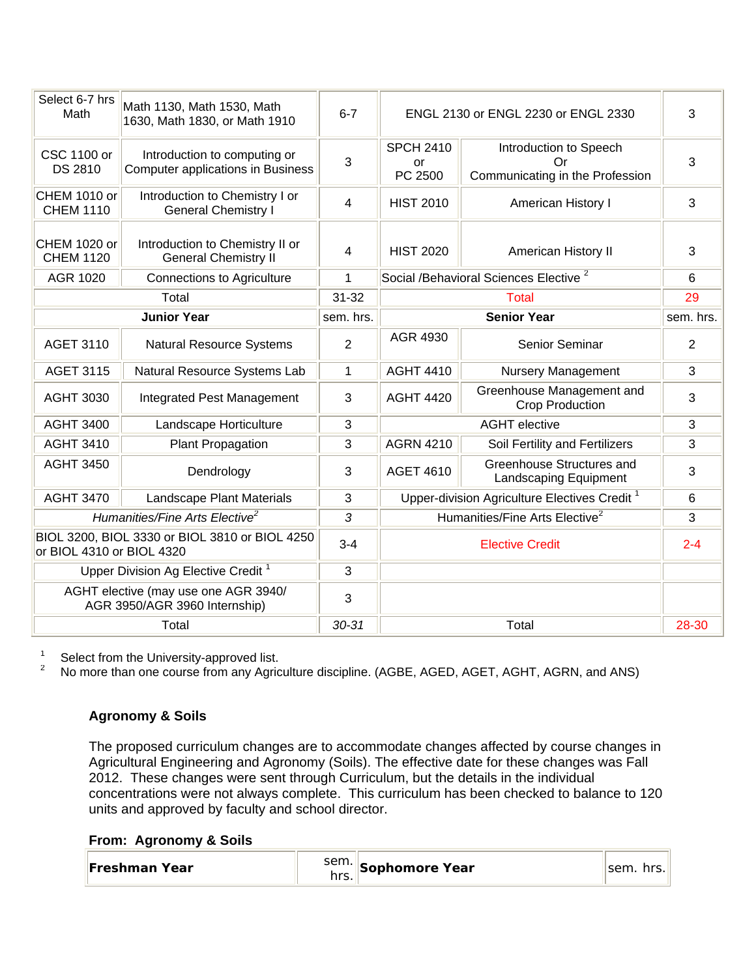| Select 6-7 hrs<br>Math               | Math 1130, Math 1530, Math<br>1630, Math 1830, or Math 1910              | $6 - 7$        |                                   | ENGL 2130 or ENGL 2230 or ENGL 2330                             | 3              |
|--------------------------------------|--------------------------------------------------------------------------|----------------|-----------------------------------|-----------------------------------------------------------------|----------------|
| <b>CSC 1100 or</b><br><b>DS 2810</b> | Introduction to computing or<br><b>Computer applications in Business</b> | 3              | <b>SPCH 2410</b><br>or<br>PC 2500 | Introduction to Speech<br>Or<br>Communicating in the Profession | 3              |
| CHEM 1010 or<br><b>CHEM 1110</b>     | Introduction to Chemistry I or<br><b>General Chemistry I</b>             | $\overline{4}$ | <b>HIST 2010</b>                  | American History I                                              | 3              |
| CHEM 1020 or<br><b>CHEM 1120</b>     | Introduction to Chemistry II or<br><b>General Chemistry II</b>           | 4              | <b>HIST 2020</b>                  | American History II                                             | 3              |
| AGR 1020                             | <b>Connections to Agriculture</b>                                        | 1              |                                   | Social /Behavioral Sciences Elective <sup>2</sup>               | 6              |
|                                      | Total                                                                    | $31 - 32$      |                                   | <b>Total</b>                                                    | 29             |
|                                      | <b>Junior Year</b>                                                       | sem. hrs.      |                                   | <b>Senior Year</b>                                              | sem. hrs.      |
| <b>AGET 3110</b>                     | <b>Natural Resource Systems</b>                                          | $\overline{2}$ | AGR 4930                          | Senior Seminar                                                  | $\overline{2}$ |
| <b>AGET 3115</b>                     | Natural Resource Systems Lab                                             | $\mathbf{1}$   | <b>AGHT 4410</b>                  | <b>Nursery Management</b>                                       | 3              |
| <b>AGHT 3030</b>                     | <b>Integrated Pest Management</b>                                        | 3              | <b>AGHT 4420</b>                  | Greenhouse Management and<br><b>Crop Production</b>             | 3              |
| <b>AGHT 3400</b>                     | Landscape Horticulture                                                   | 3              |                                   | <b>AGHT</b> elective                                            | 3              |
| <b>AGHT 3410</b>                     | Plant Propagation                                                        | 3              | <b>AGRN 4210</b>                  | Soil Fertility and Fertilizers                                  | 3              |
| <b>AGHT 3450</b>                     | Dendrology                                                               | 3              | <b>AGET 4610</b>                  | Greenhouse Structures and<br>Landscaping Equipment              | 3              |
| <b>AGHT 3470</b>                     | Landscape Plant Materials                                                | 3              |                                   | Upper-division Agriculture Electives Credit <sup>1</sup>        | 6              |
|                                      | Humanities/Fine Arts Elective <sup>2</sup>                               | 3              |                                   | Humanities/Fine Arts Elective <sup>2</sup>                      | 3              |
| or BIOL 4310 or BIOL 4320            | BIOL 3200, BIOL 3330 or BIOL 3810 or BIOL 4250                           | $3 - 4$        | <b>Elective Credit</b>            |                                                                 | $2 - 4$        |
|                                      | Upper Division Ag Elective Credit <sup>1</sup>                           | 3              |                                   |                                                                 |                |
|                                      | AGHT elective (may use one AGR 3940/<br>AGR 3950/AGR 3960 Internship)    | $\mathbf{3}$   |                                   |                                                                 |                |
|                                      | Total                                                                    | $30 - 31$      |                                   | Total                                                           | 28-30          |

1 Select from the University-approved list.

2 No more than one course from any Agriculture discipline. (AGBE, AGED, AGET, AGHT, AGRN, and ANS)

## **Agronomy & Soils**

The proposed curriculum changes are to accommodate changes affected by course changes in Agricultural Engineering and Agronomy (Soils). The effective date for these changes was Fall 2012. These changes were sent through Curriculum, but the details in the individual concentrations were not always complete. This curriculum has been checked to balance to 120 units and approved by faculty and school director.

#### **From: Agronomy & Soils**

| <b> Freshman Year</b> | sem. Sophomore Year | sem. hrs. |
|-----------------------|---------------------|-----------|
|-----------------------|---------------------|-----------|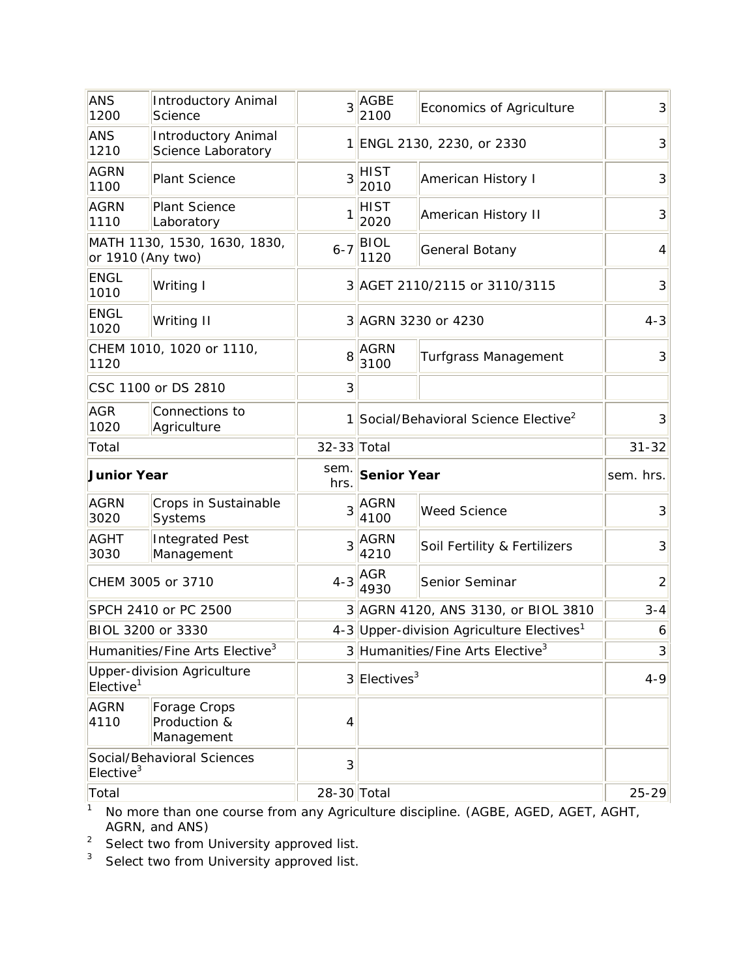| <b>ANS</b><br>1200    | <b>Introductory Animal</b><br>Science            | 3              | <b>AGBE</b><br>2100                             | Economics of Agriculture                              | 3              |
|-----------------------|--------------------------------------------------|----------------|-------------------------------------------------|-------------------------------------------------------|----------------|
| <b>ANS</b><br>1210    | <b>Introductory Animal</b><br>Science Laboratory | 11             |                                                 | ENGL 2130, 2230, or 2330                              | 3              |
| <b>AGRN</b><br>1100   | Plant Science                                    | 3              | HIST<br>2010                                    | American History I                                    | 3              |
| <b>AGRN</b><br>1110   | <b>Plant Science</b><br>Laboratory               | 1              | HIST<br>2020                                    | <b>American History II</b>                            | 3              |
| or 1910 (Any two)     | MATH 1130, 1530, 1630, 1830,                     | $6 - 7$        | <b>BIOL</b><br>1120                             | General Botany                                        | $\overline{4}$ |
| <b>ENGL</b><br>1010   | Writing I                                        |                |                                                 | 3 AGET 2110/2115 or 3110/3115                         | 3              |
| <b>ENGL</b><br>1020   | Writing II                                       |                |                                                 | 3 AGRN 3230 or 4230                                   | $4 - 3$        |
| 1120                  | CHEM 1010, 1020 or 1110,                         | 8              | <b>AGRN</b><br>3100                             | <b>Turfgrass Management</b>                           | 3              |
|                       | CSC 1100 or DS 2810                              | 3              |                                                 |                                                       |                |
| <b>AGR</b><br>1020    | Connections to<br>Agriculture                    | 1              | Social/Behavioral Science Elective <sup>2</sup> |                                                       | 3              |
| Total                 |                                                  | 32-33 Total    |                                                 |                                                       | $31 - 32$      |
|                       |                                                  |                |                                                 |                                                       |                |
| <b>Junior Year</b>    |                                                  | sem.<br>hrs.   | <b>Senior Year</b>                              |                                                       | sem. hrs.      |
| <b>AGRN</b><br>3020   | Crops in Sustainable<br>Systems                  | 3              | AGRN<br>4100                                    | <b>Weed Science</b>                                   | 3              |
| <b>AGHT</b><br>3030   | <b>Integrated Pest</b><br>Management             | 3              | AGRN<br>4210                                    | Soil Fertility & Fertilizers                          | 3              |
|                       | CHEM 3005 or 3710                                | $4 - 3$        | AGR<br>4930                                     | Senior Seminar                                        | $\overline{2}$ |
|                       | SPCH 2410 or PC 2500                             |                |                                                 | 3 AGRN 4120, ANS 3130, or BIOL 3810                   | $3 - 4$        |
| BIOL 3200 or 3330     |                                                  |                |                                                 | 4-3 Upper-division Agriculture Electives <sup>1</sup> | 6              |
|                       | Humanities/Fine Arts Elective <sup>3</sup>       |                |                                                 | 3 Humanities/Fine Arts Elective <sup>3</sup>          | $\overline{3}$ |
| Elective <sup>1</sup> | <b>Upper-division Agriculture</b>                |                | $3$ Electives <sup>3</sup>                      |                                                       | $4 - 9$        |
| <b>AGRN</b><br>4110   | Forage Crops<br>Production &<br>Management       | 4              |                                                 |                                                       |                |
| Elective <sup>3</sup> | Social/Behavioral Sciences                       | $\overline{3}$ |                                                 |                                                       |                |

<sup>1</sup> No more than one course from any Agriculture discipline. (AGBE, AGED, AGET, AGHT, AGRN, and ANS)

 $2^2$  Select two from University approved list.

<sup>3</sup> Select two from University approved list.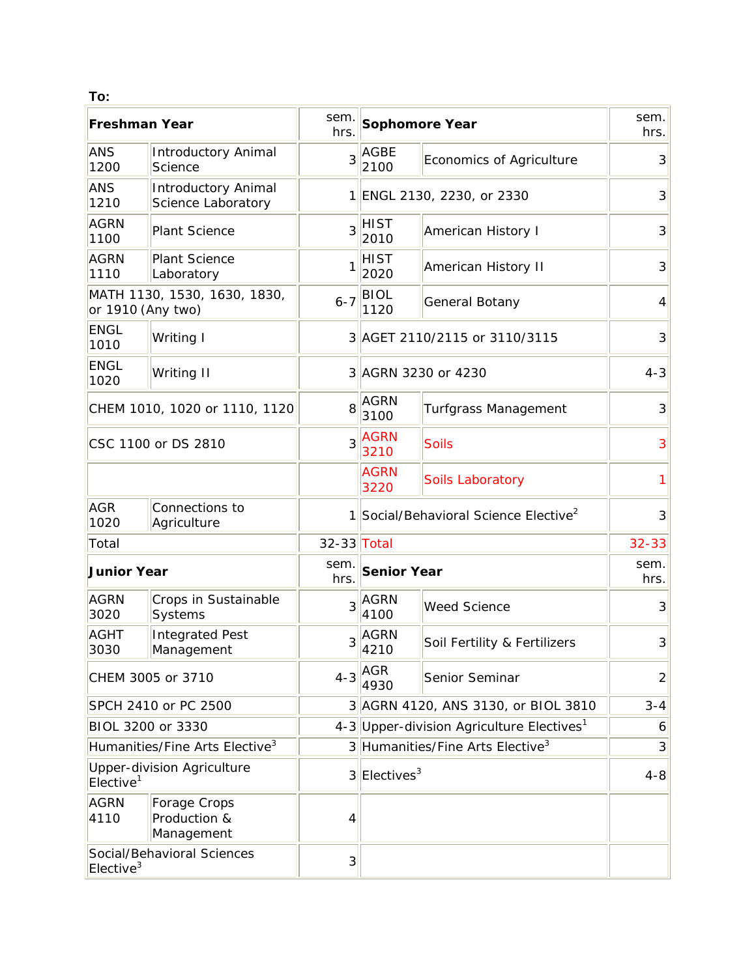| To:                   |                                                  |                |                                                 |                                                       |                |
|-----------------------|--------------------------------------------------|----------------|-------------------------------------------------|-------------------------------------------------------|----------------|
| <b>Freshman Year</b>  |                                                  | sem.<br>hrs.   |                                                 | <b>Sophomore Year</b>                                 | sem.<br>hrs.   |
| <b>ANS</b><br>1200    | <b>Introductory Animal</b><br>Science            | 3              | <b>AGBE</b><br>2100                             | Economics of Agriculture                              | 3              |
| <b>ANS</b><br>1210    | <b>Introductory Animal</b><br>Science Laboratory |                |                                                 | 1 ENGL 2130, 2230, or 2330                            | 3              |
| <b>AGRN</b><br>1100   | <b>Plant Science</b>                             | 3              | <b>HIST</b><br>2010                             | American History I                                    | 3              |
| <b>AGRN</b><br>1110   | Plant Science<br>Laboratory                      |                | <b>HIST</b><br>2020                             | American History II                                   | 3              |
| or 1910 (Any two)     | MATH 1130, 1530, 1630, 1830,                     | $6 - 7$        | <b>BIOL</b><br>1120                             | General Botany                                        | 4              |
| <b>ENGL</b><br>1010   | Writing I                                        |                |                                                 | 3 AGET 2110/2115 or 3110/3115                         | 3              |
| <b>ENGL</b><br>1020   | Writing II                                       |                |                                                 | 3 AGRN 3230 or 4230                                   | $4 - 3$        |
|                       | CHEM 1010, 1020 or 1110, 1120                    | 8              | <b>AGRN</b><br>Turfgrass Management<br>3100     |                                                       | 3              |
| CSC 1100 or DS 2810   |                                                  | 3              | <b>AGRN</b><br>3210                             | <b>Soils</b>                                          | 3              |
|                       |                                                  |                | <b>AGRN</b><br>3220                             | Soils Laboratory                                      | 1              |
| <b>AGR</b><br>1020    | Connections to<br>Agriculture                    |                |                                                 | 1 Social/Behavioral Science Elective <sup>2</sup>     | 3              |
| Total                 |                                                  | 32-33 Total    |                                                 |                                                       | $32 - 33$      |
| <b>Junior Year</b>    |                                                  | sem.<br>hrs.   | <b>Senior Year</b>                              |                                                       | sem.<br>hrs.   |
| <b>AGRN</b><br>3020   | Crops in Sustainable<br>Systems                  | 3              | <b>AGRN</b><br>4100                             | <b>Weed Science</b>                                   | 3              |
| <b>AGHT</b><br>3030   | <b>Integrated Pest</b><br>Management             |                | $3$ $\overline{\overline{\text{AGRN}}}$<br>4210 | Soil Fertility & Fertilizers                          | $\overline{3}$ |
|                       | CHEM 3005 or 3710                                | $4 - 3$        | <b>AGR</b><br>4930                              | Senior Seminar                                        | $\overline{2}$ |
|                       | SPCH 2410 or PC 2500                             |                |                                                 | 3 AGRN 4120, ANS 3130, or BIOL 3810                   | $3 - 4$        |
|                       | BIOL 3200 or 3330                                |                |                                                 | 4-3 Upper-division Agriculture Electives <sup>1</sup> | 6              |
|                       | Humanities/Fine Arts Elective <sup>3</sup>       |                |                                                 | 3 Humanities/Fine Arts Elective <sup>3</sup>          | $\overline{3}$ |
| Elective <sup>1</sup> | <b>Upper-division Agriculture</b>                |                | $3$ Electives <sup>3</sup>                      |                                                       | $4 - 8$        |
| <b>AGRN</b><br>4110   | Forage Crops<br>Production &<br>Management       | 4              |                                                 |                                                       |                |
| Elective $3$          | Social/Behavioral Sciences                       | $\overline{3}$ |                                                 |                                                       |                |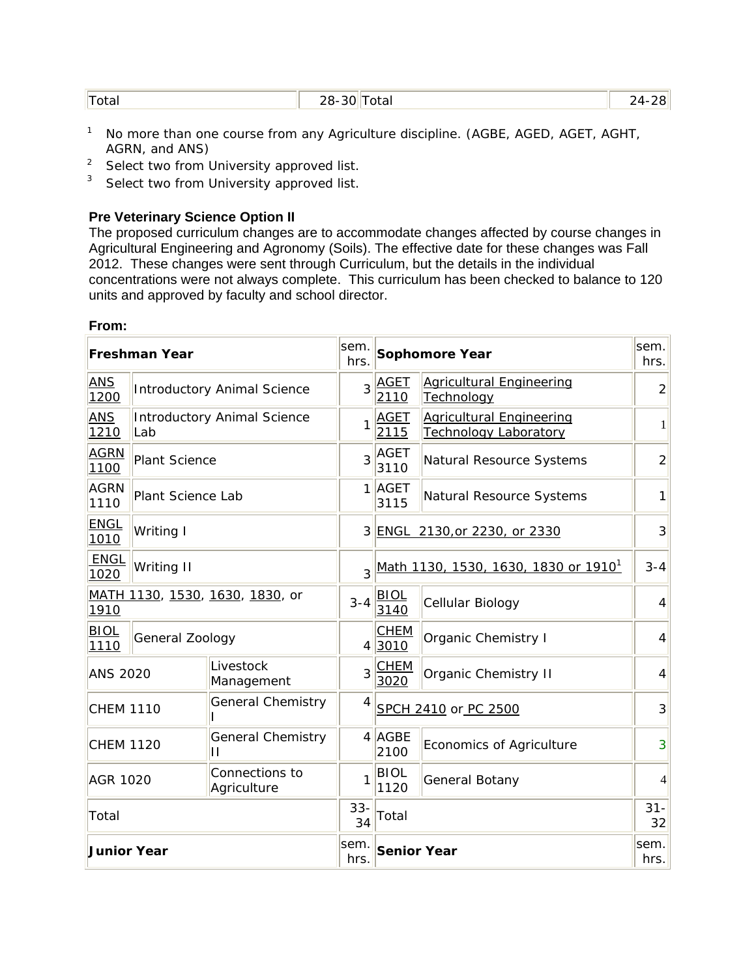| 'Total | 28-30 그<br>Total<br>____ | וסר<br>$\Lambda$ |
|--------|--------------------------|------------------|
|        |                          |                  |

- <sup>1</sup> No more than one course from any Agriculture discipline. (AGBE, AGED, AGET, AGHT, AGRN, and ANS)
- <sup>2</sup> Select two from University approved list.
- <sup>3</sup> Select two from University approved list.

#### **Pre Veterinary Science Option II**

**From:** 

The proposed curriculum changes are to accommodate changes affected by course changes in Agricultural Engineering and Agronomy (Soils). The effective date for these changes was Fall 2012. These changes were sent through Curriculum, but the details in the individual concentrations were not always complete. This curriculum has been checked to balance to 120 units and approved by faculty and school director.

|                     |                                           |                                    |                |                                                  |                                                                 | sem.           |
|---------------------|-------------------------------------------|------------------------------------|----------------|--------------------------------------------------|-----------------------------------------------------------------|----------------|
|                     | <b>Freshman Year</b>                      |                                    | sem.<br>hrs.   |                                                  | <b>Sophomore Year</b>                                           | hrs.           |
| <b>ANS</b><br>1200  |                                           | <b>Introductory Animal Science</b> | $\overline{3}$ | <b>AGET</b><br>2110                              | <b>Agricultural Engineering</b><br>Technology                   | $\overline{2}$ |
| <b>ANS</b><br>1210  | <b>Introductory Animal Science</b><br>Lab |                                    | 1              | <b>AGET</b><br>2115                              | <b>Agricultural Engineering</b><br><b>Technology Laboratory</b> | $\mathbf{1}$   |
| <b>AGRN</b><br>1100 | <b>Plant Science</b>                      |                                    | 3              | AGET<br>3110                                     | Natural Resource Systems                                        | $\overline{2}$ |
| <b>AGRN</b><br>1110 | Plant Science Lab                         |                                    |                | 1 AGET<br>3115                                   | Natural Resource Systems                                        | 1              |
| <b>ENGL</b><br>1010 | Writing I                                 |                                    |                | 3 ENGL 2130, or 2230, or 2330                    |                                                                 | 3              |
| <b>ENGL</b><br>1020 | Writing II                                |                                    | 3              | Math 1130, 1530, 1630, 1830 or 1910 <sup>1</sup> |                                                                 | $3 - 4$        |
| 1910                |                                           | MATH 1130, 1530, 1630, 1830, or    | $3 - 4$        | <b>BIOL</b><br>Cellular Biology<br>3140          |                                                                 | 4              |
| <b>BIOL</b><br>1110 | General Zoology                           |                                    |                | <b>CHEM</b><br>4 3010                            | Organic Chemistry I                                             | 4              |
| <b>ANS 2020</b>     |                                           | Livestock<br>Management            | 3              | <b>CHEM</b><br>3020                              | Organic Chemistry II                                            | $\overline{4}$ |
| <b>CHEM 1110</b>    |                                           | <b>General Chemistry</b>           | 4              |                                                  | SPCH 2410 or PC 2500                                            | 3              |
| <b>CHEM 1120</b>    |                                           | <b>General Chemistry</b><br>П      |                | $4$ AGBE<br>2100                                 | Economics of Agriculture                                        | 3              |
| <b>AGR 1020</b>     |                                           | Connections to<br>Agriculture      |                | <b>BIOL</b><br>1120                              | General Botany                                                  | $\overline{4}$ |
| Total               |                                           |                                    | $33 -$<br>34   | Total                                            |                                                                 | $31 -$<br>32   |
| <b>Junior Year</b>  |                                           |                                    | sem.<br>hrs.   | <b>Senior Year</b>                               |                                                                 | sem.<br>hrs.   |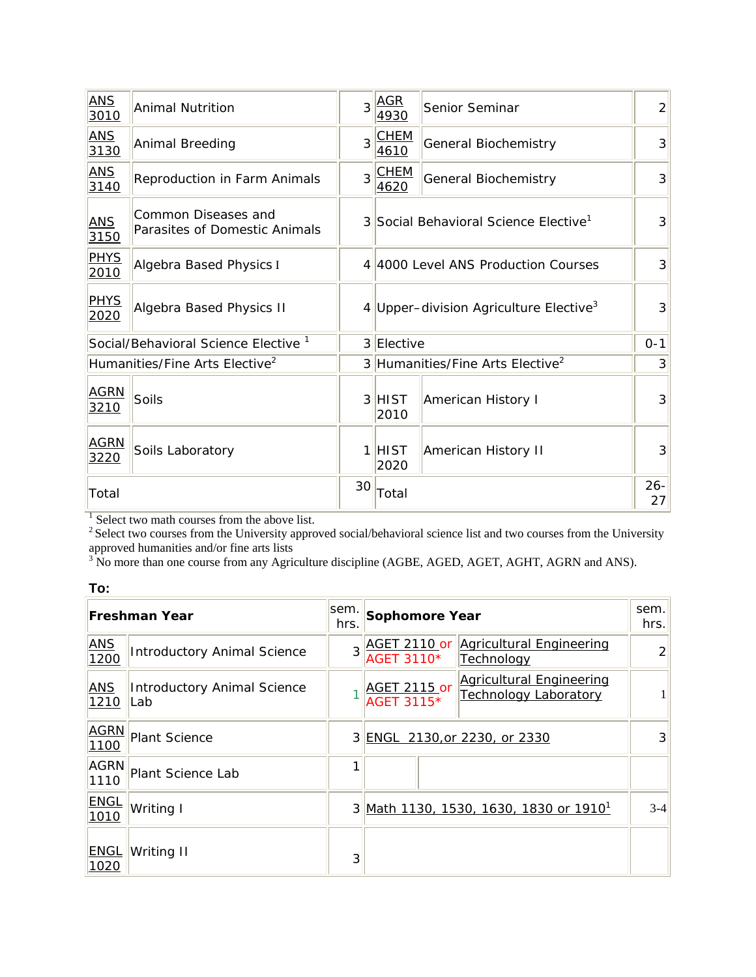| <b>ANS</b><br>3010  | <b>Animal Nutrition</b>                              |    | $3$ $ AGR$<br>4930                           | Senior Seminar                                     | $\overline{2}$ |  |  |
|---------------------|------------------------------------------------------|----|----------------------------------------------|----------------------------------------------------|----------------|--|--|
| <b>ANS</b><br>3130  | Animal Breeding                                      |    | $3$ <sup>CHEM</sup><br>4610                  | <b>General Biochemistry</b>                        | 3              |  |  |
| <b>ANS</b><br>3140  | Reproduction in Farm Animals                         |    | $3$ CHEM<br>4620                             | <b>General Biochemistry</b>                        | 3              |  |  |
| <b>ANS</b><br>3150  | Common Diseases and<br>Parasites of Domestic Animals |    |                                              | 3 Social Behavioral Science Elective <sup>1</sup>  |                |  |  |
| <b>PHYS</b><br>2010 | Algebra Based Physics I                              |    |                                              | 4 4000 Level ANS Production Courses                |                |  |  |
| <b>PHYS</b><br>2020 | Algebra Based Physics II                             |    |                                              | 4 Upper-division Agriculture Elective <sup>3</sup> |                |  |  |
|                     | Social/Behavioral Science Elective <sup>1</sup>      |    | 3 Elective                                   |                                                    | $0 - 1$        |  |  |
|                     | Humanities/Fine Arts Elective <sup>2</sup>           |    | 3 Humanities/Fine Arts Elective <sup>2</sup> |                                                    | 3              |  |  |
| <b>AGRN</b><br>3210 | Soils                                                |    | 3 HIST<br>2010                               | American History I                                 | 3              |  |  |
| <b>AGRN</b><br>3220 | Soils Laboratory                                     |    | $1$ HIST<br>2020                             | American History II                                | 3              |  |  |
| Total               |                                                      | 30 | Total                                        |                                                    |                |  |  |

<sup>1</sup> Select two math courses from the above list.

 $2^2$  Select two courses from the University approved social/behavioral science list and two courses from the University

approved humanities and/or fine arts lists<br><sup>3</sup> No more than one course from any Agriculture discipline (AGBE, AGED, AGET, AGHT, AGRN and ANS).

| ×<br>٠<br>v |  |
|-------------|--|

|                     | <b>Freshman Year</b>               | sem.<br>hrs. | Sophomore Year                                                                                | sem.<br>hrs.   |
|---------------------|------------------------------------|--------------|-----------------------------------------------------------------------------------------------|----------------|
| <b>ANS</b><br>1200  | <b>Introductory Animal Science</b> | $\mathbf{3}$ | <b>AGET 2110 or Agricultural Engineering</b><br>AGET 3110*<br><b>Technology</b>               | $\mathcal{D}$  |
| <b>ANS</b><br>1210  | Introductory Animal Science<br>Lab |              | <b>Agricultural Engineering</b><br>AGET 2115 or<br><b>Technology Laboratory</b><br>AGET 3115* | 1              |
| <b>AGRN</b><br>1100 | <b>Plant Science</b>               |              | 3 ENGL 2130, or 2230, or 2330                                                                 | $\overline{3}$ |
| <b>AGRN</b><br>1110 | Plant Science Lab                  | 1            |                                                                                               |                |
| <b>ENGL</b><br>1010 | Writing I                          |              | 3 Math 1130, 1530, 1630, 1830 or 1910 <sup>1</sup>                                            | $3-4$          |
| <b>ENGL</b><br>1020 | Writing II                         | 3            |                                                                                               |                |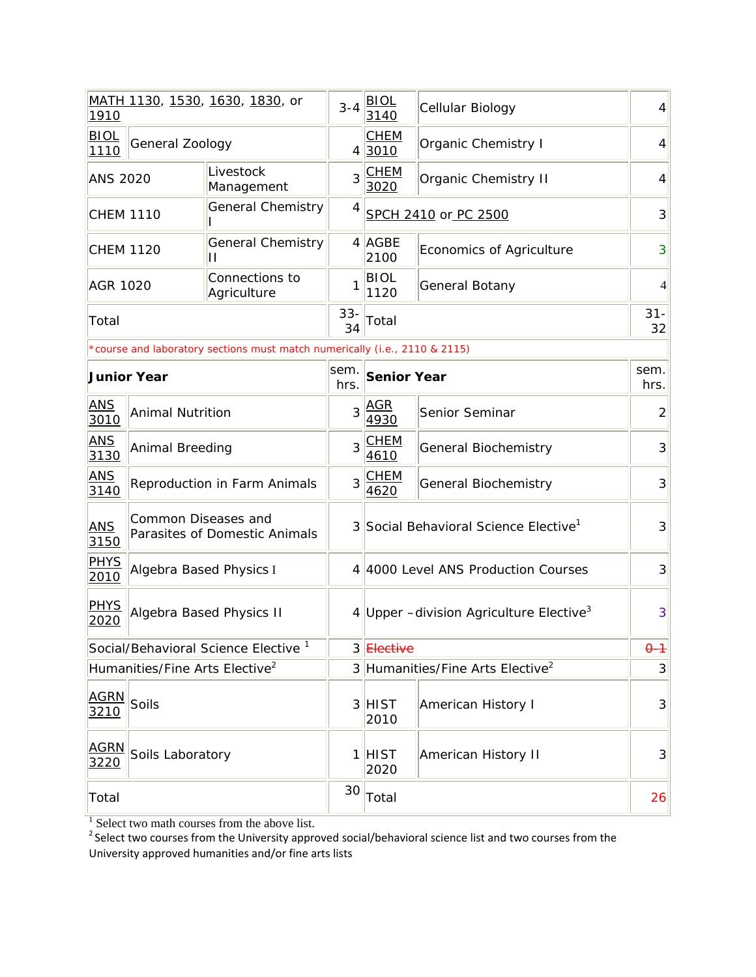| 1910                       |                                            | <u>MATH 1130, 1530, 1630, 1830</u> , or                                    | $3 - 4$      | <b>BIOL</b><br>3140                                    | Cellular Biology                                  | 4              |
|----------------------------|--------------------------------------------|----------------------------------------------------------------------------|--------------|--------------------------------------------------------|---------------------------------------------------|----------------|
| <b>BIOL</b><br>1110        | General Zoology                            |                                                                            |              | <b>CHEM</b><br>43010                                   | Organic Chemistry I                               | $\overline{4}$ |
| <b>ANS 2020</b>            |                                            | Livestock<br>Management                                                    |              | $3$ CHEM<br>3020                                       | Organic Chemistry II                              | $\overline{4}$ |
| <b>CHEM 1110</b>           |                                            | <b>General Chemistry</b>                                                   | 4            |                                                        | SPCH 2410 or PC 2500                              | 3              |
| <b>CHEM 1120</b>           |                                            | <b>General Chemistry</b><br>П                                              |              | $4$ AGBE<br>2100                                       | Economics of Agriculture                          | 3              |
| <b>AGR 1020</b>            |                                            | Connections to<br>Agriculture                                              | 1            | <b>BIOL</b><br>1120                                    | General Botany                                    | 4              |
| Total                      |                                            |                                                                            | $33 -$<br>34 | Total                                                  |                                                   | $31 -$<br>32   |
|                            |                                            | *course and laboratory sections must match numerically (i.e., 2110 & 2115) |              |                                                        |                                                   |                |
|                            | <b>Junior Year</b>                         |                                                                            | sem.<br>hrs. | <b>Senior Year</b>                                     |                                                   | sem.<br>hrs.   |
| <b>ANS</b><br>3010         | <b>Animal Nutrition</b>                    |                                                                            | 3            | <u>AGR</u><br>4930                                     | Senior Seminar                                    | $\overline{2}$ |
| <b>ANS</b><br>3130         | Animal Breeding                            |                                                                            | 3            | <b>CHEM</b><br>General Biochemistry<br>4610            |                                                   | 3              |
| <b>ANS</b><br>3140         |                                            | Reproduction in Farm Animals                                               |              | 3 CHEM<br>4620                                         | General Biochemistry                              | 3              |
| <b>ANS</b><br>3150         | Common Diseases and                        | Parasites of Domestic Animals                                              |              |                                                        | 3 Social Behavioral Science Elective <sup>1</sup> | 3              |
| <b>PHYS</b><br>2010        | Algebra Based Physics I                    |                                                                            |              |                                                        | 4 4000 Level ANS Production Courses               | 3              |
| <u>PHYS</u><br>2020        |                                            | <b>Algebra Based Physics II</b>                                            |              | 4 Upper $-$ division Agriculture Elective <sup>3</sup> |                                                   | 3              |
|                            |                                            | Social/Behavioral Science Elective <sup>1</sup>                            |              | 3 Elective                                             |                                                   | $\theta - 1$   |
|                            | Humanities/Fine Arts Elective <sup>2</sup> |                                                                            |              | 3 Humanities/Fine Arts Elective <sup>2</sup>           |                                                   | 3              |
| <b>AGRN</b><br>3210        | Soils                                      |                                                                            |              | 3 HIST<br>2010                                         | <b>American History I</b>                         | 3              |
| <b>AGRN</b><br><u>3220</u> | Soils Laboratory                           |                                                                            |              | 1 HIST<br>2020                                         | American History II                               | $\mathbf{3}$   |
| Total                      |                                            |                                                                            | 30           | Total                                                  |                                                   | 26             |

 $^1$  Select two math courses from the above list.<br><sup>2</sup> Select two courses from the University approved social/behavioral science list and two courses from the University approved humanities and/or fine arts lists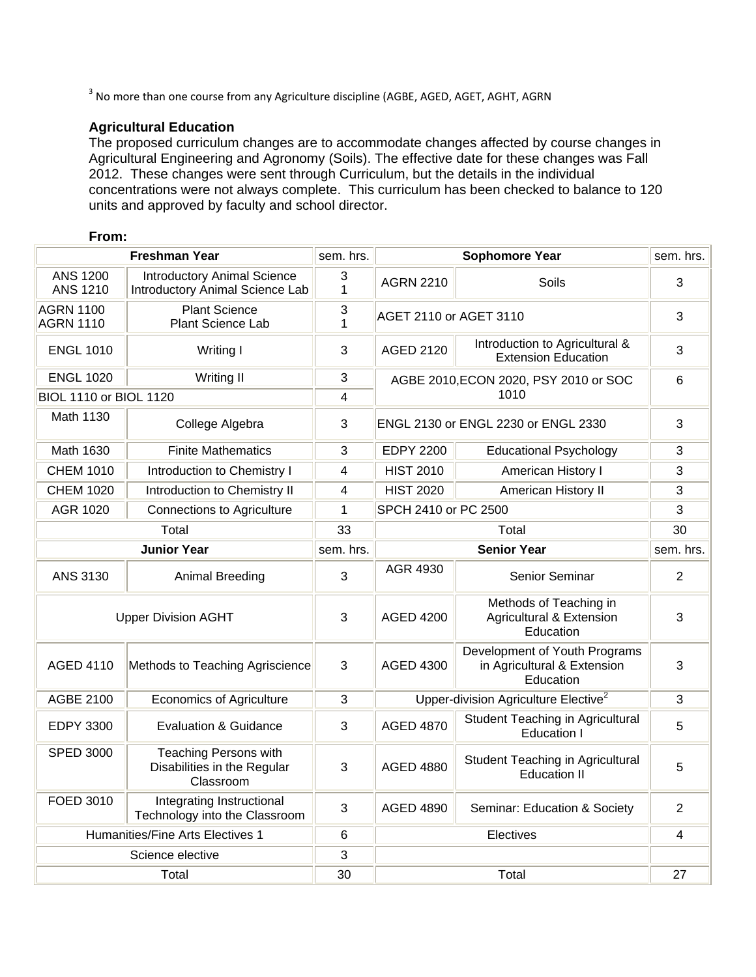<sup>3</sup> No more than one course from any Agriculture discipline (AGBE, AGED, AGET, AGHT, AGRN

## **Agricultural Education**

The proposed curriculum changes are to accommodate changes affected by course changes in Agricultural Engineering and Agronomy (Soils). The effective date for these changes was Fall 2012. These changes were sent through Curriculum, but the details in the individual concentrations were not always complete. This curriculum has been checked to balance to 120 units and approved by faculty and school director.

#### **From:**

|                                      | <b>Freshman Year</b>                                                     | sem. hrs.    |                        | <b>Sophomore Year</b><br>sem. hrs.                                        |                |
|--------------------------------------|--------------------------------------------------------------------------|--------------|------------------------|---------------------------------------------------------------------------|----------------|
| <b>ANS 1200</b><br><b>ANS 1210</b>   | <b>Introductory Animal Science</b><br>Introductory Animal Science Lab    | 3<br>1       | <b>AGRN 2210</b>       | Soils                                                                     | $\mathbf{3}$   |
| <b>AGRN 1100</b><br><b>AGRN 1110</b> | <b>Plant Science</b><br><b>Plant Science Lab</b>                         | 3<br>1       | AGET 2110 or AGET 3110 |                                                                           | $\mathbf{3}$   |
| <b>ENGL 1010</b>                     | Writing I                                                                | 3            | <b>AGED 2120</b>       | Introduction to Agricultural &<br><b>Extension Education</b>              | 3              |
| <b>ENGL 1020</b>                     | Writing II                                                               | 3            |                        | AGBE 2010, ECON 2020, PSY 2010 or SOC                                     | 6              |
| <b>BIOL 1110 or BIOL 1120</b>        |                                                                          | 4            |                        | 1010                                                                      |                |
| Math 1130                            | College Algebra                                                          | 3            |                        | ENGL 2130 or ENGL 2230 or ENGL 2330                                       |                |
| Math 1630                            | <b>Finite Mathematics</b>                                                | 3            | <b>EDPY 2200</b>       | <b>Educational Psychology</b>                                             | 3              |
| <b>CHEM 1010</b>                     | Introduction to Chemistry I                                              | 4            | <b>HIST 2010</b>       | American History I                                                        | 3              |
| <b>CHEM 1020</b>                     | Introduction to Chemistry II                                             | 4            | <b>HIST 2020</b>       | American History II                                                       | 3              |
| AGR 1020                             | <b>Connections to Agriculture</b>                                        | $\mathbf{1}$ | SPCH 2410 or PC 2500   |                                                                           | 3              |
|                                      | Total                                                                    | 33           |                        | Total                                                                     | 30             |
|                                      | <b>Junior Year</b>                                                       | sem. hrs.    |                        | <b>Senior Year</b>                                                        | sem. hrs.      |
| ANS 3130                             | Animal Breeding                                                          | $\mathbf{3}$ | AGR 4930               | Senior Seminar                                                            | $\overline{2}$ |
| <b>Upper Division AGHT</b>           |                                                                          | 3            | <b>AGED 4200</b>       | Methods of Teaching in<br>Agricultural & Extension<br>Education           | 3              |
| AGED 4110                            | Methods to Teaching Agriscience                                          | $\mathbf{3}$ | <b>AGED 4300</b>       | Development of Youth Programs<br>in Agricultural & Extension<br>Education | 3              |
| <b>AGBE 2100</b>                     | <b>Economics of Agriculture</b>                                          | 3            |                        | Upper-division Agriculture Elective <sup>2</sup>                          | 3              |
| <b>EDPY 3300</b>                     | <b>Evaluation &amp; Guidance</b>                                         | 3            | <b>AGED 4870</b>       | <b>Student Teaching in Agricultural</b><br><b>Education I</b>             | 5              |
| <b>SPED 3000</b>                     | <b>Teaching Persons with</b><br>Disabilities in the Regular<br>Classroom | 3            | <b>AGED 4880</b>       | Student Teaching in Agricultural<br><b>Education II</b>                   | 5              |
| FOED 3010                            | Integrating Instructional<br>Technology into the Classroom               | $\mathbf{3}$ | <b>AGED 4890</b>       | Seminar: Education & Society                                              | $\overline{2}$ |
|                                      | Humanities/Fine Arts Electives 1                                         | $\,6$        |                        | Electives                                                                 | 4              |
|                                      | Science elective                                                         | $\mathbf{3}$ |                        |                                                                           |                |
|                                      | Total                                                                    | 30           |                        | Total                                                                     | 27             |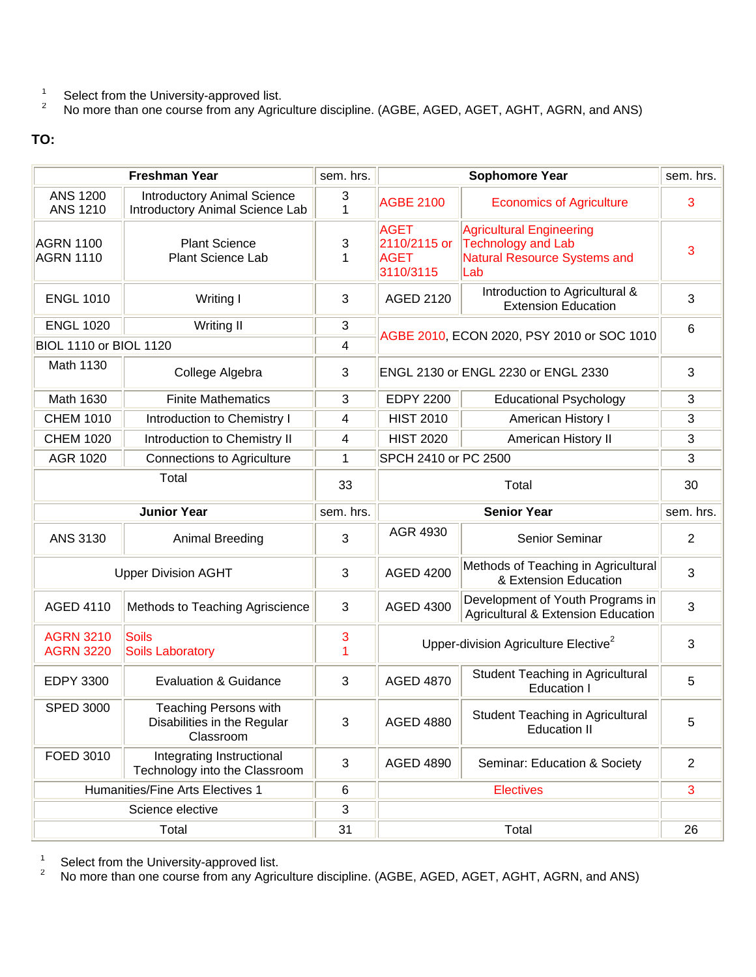- 1 Select from the University-approved list.
- 2 No more than one course from any Agriculture discipline. (AGBE, AGED, AGET, AGHT, AGRN, and ANS)

## **TO:**

|                                      | <b>Freshman Year</b>                                                     | sem. hrs. | <b>Sophomore Year</b>                                   |                                                                                                     | sem. hrs.      |
|--------------------------------------|--------------------------------------------------------------------------|-----------|---------------------------------------------------------|-----------------------------------------------------------------------------------------------------|----------------|
| <b>ANS 1200</b><br><b>ANS 1210</b>   | <b>Introductory Animal Science</b><br>Introductory Animal Science Lab    | 3<br>1    | <b>AGBE 2100</b>                                        | <b>Economics of Agriculture</b>                                                                     | 3              |
| <b>AGRN 1100</b><br><b>AGRN 1110</b> | <b>Plant Science</b><br><b>Plant Science Lab</b>                         | 3<br>1    | <b>AGET</b><br>2110/2115 or<br><b>AGET</b><br>3110/3115 | <b>Agricultural Engineering</b><br>Technology and Lab<br><b>Natural Resource Systems and</b><br>Lab | 3              |
| <b>ENGL 1010</b>                     | Writing I                                                                | 3         | <b>AGED 2120</b>                                        | Introduction to Agricultural &<br><b>Extension Education</b>                                        | 3              |
| <b>ENGL 1020</b><br>Writing II       |                                                                          | 3         |                                                         | AGBE 2010, ECON 2020, PSY 2010 or SOC 1010                                                          |                |
| <b>BIOL 1110 or BIOL 1120</b>        |                                                                          | 4         |                                                         |                                                                                                     |                |
| Math 1130                            | College Algebra                                                          | 3         |                                                         | ENGL 2130 or ENGL 2230 or ENGL 2330                                                                 | $\mathfrak{S}$ |
| Math 1630                            | <b>Finite Mathematics</b>                                                | 3         | <b>EDPY 2200</b>                                        | <b>Educational Psychology</b>                                                                       | 3              |
| <b>CHEM 1010</b>                     | Introduction to Chemistry I                                              | 4         | <b>HIST 2010</b>                                        | American History I                                                                                  | 3              |
| <b>CHEM 1020</b>                     | Introduction to Chemistry II                                             | 4         | <b>HIST 2020</b>                                        | American History II                                                                                 | $\mathbf{3}$   |
| AGR 1020                             | <b>Connections to Agriculture</b>                                        | 1         | SPCH 2410 or PC 2500                                    |                                                                                                     | 3              |
|                                      | Total                                                                    | 33        | Total                                                   |                                                                                                     | 30             |
|                                      | <b>Junior Year</b>                                                       | sem. hrs. |                                                         | <b>Senior Year</b>                                                                                  | sem. hrs.      |
|                                      |                                                                          |           |                                                         |                                                                                                     |                |
| ANS 3130                             | Animal Breeding                                                          | 3         | AGR 4930                                                | Senior Seminar                                                                                      | $\overline{2}$ |
|                                      | <b>Upper Division AGHT</b>                                               | 3         | <b>AGED 4200</b>                                        | Methods of Teaching in Agricultural<br>& Extension Education                                        | 3              |
| <b>AGED 4110</b>                     | Methods to Teaching Agriscience                                          | 3         | <b>AGED 4300</b>                                        | Development of Youth Programs in<br><b>Agricultural &amp; Extension Education</b>                   | $\mathbf{3}$   |
| <b>AGRN 3210</b><br><b>AGRN 3220</b> | Soils<br><b>Soils Laboratory</b>                                         | 3<br>1    |                                                         | Upper-division Agriculture Elective <sup>2</sup>                                                    | 3              |
| <b>EDPY 3300</b>                     | <b>Evaluation &amp; Guidance</b>                                         | 3         | <b>AGED 4870</b>                                        | Student Teaching in Agricultural<br><b>Education I</b>                                              | 5              |
| <b>SPED 3000</b>                     | <b>Teaching Persons with</b><br>Disabilities in the Regular<br>Classroom | 3         | <b>AGED 4880</b>                                        | Student Teaching in Agricultural<br><b>Education II</b>                                             | 5              |
| FOED 3010                            | Integrating Instructional<br>Technology into the Classroom               | 3         | <b>AGED 4890</b>                                        | Seminar: Education & Society                                                                        | $\overline{2}$ |
|                                      | Humanities/Fine Arts Electives 1                                         | 6         |                                                         | <b>Electives</b>                                                                                    | 3              |
|                                      | Science elective                                                         | 3         |                                                         |                                                                                                     |                |

1 Select from the University-approved list.

2 No more than one course from any Agriculture discipline. (AGBE, AGED, AGET, AGHT, AGRN, and ANS)